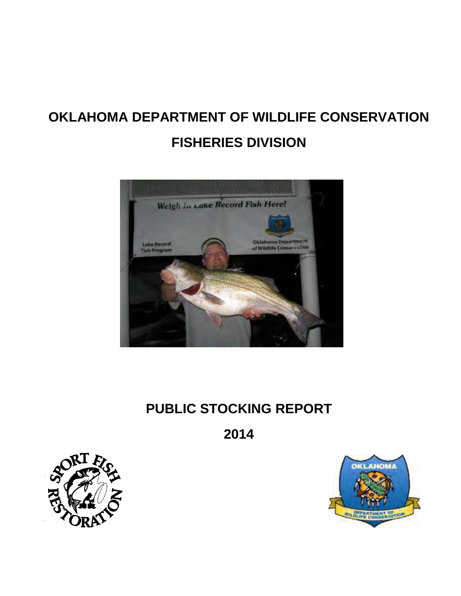# **OKLAHOMA DEPARTMENT OF WILDLIFE CONSERVATION FISHERIES DIVISION**



# **PUBLIC STOCKING REPORT**

**2014** 



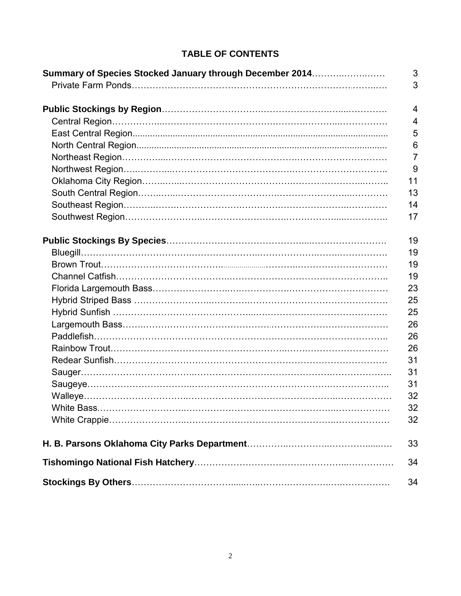| Summary of Species Stocked January through December 2014 | 3<br>3         |
|----------------------------------------------------------|----------------|
|                                                          | $\overline{4}$ |
|                                                          | 4              |
|                                                          | 5              |
|                                                          | 6              |
|                                                          | $\overline{7}$ |
|                                                          | 9              |
|                                                          | 11             |
|                                                          | 13             |
|                                                          | 14             |
|                                                          | 17             |
|                                                          | 19             |
|                                                          | 19             |
|                                                          | 19             |
|                                                          | 19             |
|                                                          | 23             |
|                                                          | 25             |
|                                                          | 25             |
|                                                          | 26             |
|                                                          | 26             |
|                                                          | 26             |
|                                                          | 31             |
|                                                          | 31             |
|                                                          | 31             |
|                                                          | 32             |
|                                                          | 32             |
|                                                          | 32             |
|                                                          | 33             |
|                                                          | 34             |
|                                                          | 34             |

# **TABLE OF CONTENTS**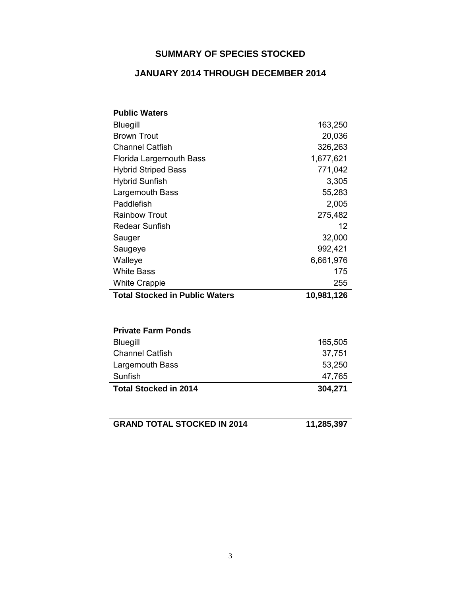# **SUMMARY OF SPECIES STOCKED**

### **JANUARY 2014 THROUGH DECEMBER 2014**

| <b>Public Waters</b>                  |            |
|---------------------------------------|------------|
| <b>Bluegill</b>                       | 163,250    |
| <b>Brown Trout</b>                    | 20,036     |
| <b>Channel Catfish</b>                | 326,263    |
| Florida Largemouth Bass               | 1,677,621  |
| <b>Hybrid Striped Bass</b>            | 771,042    |
| <b>Hybrid Sunfish</b>                 | 3,305      |
| Largemouth Bass                       | 55,283     |
| Paddlefish                            | 2,005      |
| <b>Rainbow Trout</b>                  | 275,482    |
| <b>Redear Sunfish</b>                 | 12         |
| Sauger                                | 32,000     |
| Saugeye                               | 992,421    |
| Walleye                               | 6,661,976  |
| <b>White Bass</b>                     | 175        |
| <b>White Crappie</b>                  | 255        |
| <b>Total Stocked in Public Waters</b> | 10,981,126 |
|                                       |            |
| <b>Private Farm Ponds</b>             |            |
| <b>Bluegill</b>                       | 165,505    |
| <b>Channel Catfish</b>                | 37,751     |
| Largemouth Bass                       | 53,250     |
| Sunfish                               | 47,765     |
| <b>Total Stocked in 2014</b>          | 304,271    |
|                                       |            |
| <b>GRAND TOTAL STOCKED IN 2014</b>    | 11,285,397 |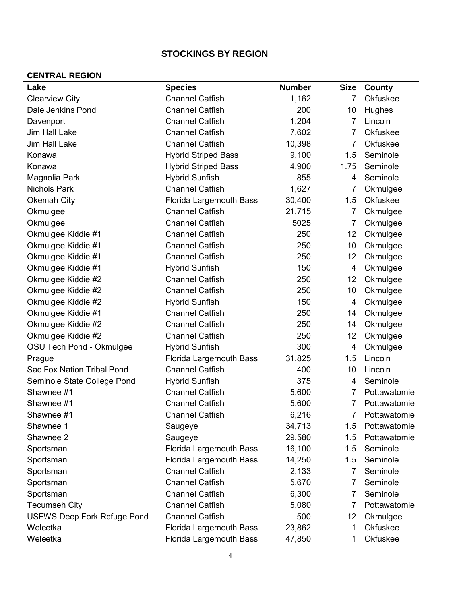# **STOCKINGS BY REGION**

### **CENTRAL REGION**

| Lake                               | <b>Species</b>                 | <b>Number</b> | <b>Size</b>    | County       |
|------------------------------------|--------------------------------|---------------|----------------|--------------|
| <b>Clearview City</b>              | <b>Channel Catfish</b>         | 1,162         | 7              | Okfuskee     |
| Dale Jenkins Pond                  | <b>Channel Catfish</b>         | 200           | 10             | Hughes       |
| Davenport                          | <b>Channel Catfish</b>         | 1,204         | 7              | Lincoln      |
| Jim Hall Lake                      | <b>Channel Catfish</b>         | 7,602         | 7              | Okfuskee     |
| Jim Hall Lake                      | <b>Channel Catfish</b>         | 10,398        | $\overline{7}$ | Okfuskee     |
| Konawa                             | <b>Hybrid Striped Bass</b>     | 9,100         | 1.5            | Seminole     |
| Konawa                             | <b>Hybrid Striped Bass</b>     | 4,900         | 1.75           | Seminole     |
| Magnolia Park                      | <b>Hybrid Sunfish</b>          | 855           | 4              | Seminole     |
| <b>Nichols Park</b>                | <b>Channel Catfish</b>         | 1,627         | 7              | Okmulgee     |
| <b>Okemah City</b>                 | Florida Largemouth Bass        | 30,400        | 1.5            | Okfuskee     |
| Okmulgee                           | <b>Channel Catfish</b>         | 21,715        | 7              | Okmulgee     |
| Okmulgee                           | <b>Channel Catfish</b>         | 5025          | 7              | Okmulgee     |
| Okmulgee Kiddie #1                 | <b>Channel Catfish</b>         | 250           | 12             | Okmulgee     |
| Okmulgee Kiddie #1                 | <b>Channel Catfish</b>         | 250           | 10             | Okmulgee     |
| Okmulgee Kiddie #1                 | <b>Channel Catfish</b>         | 250           | 12             | Okmulgee     |
| Okmulgee Kiddie #1                 | <b>Hybrid Sunfish</b>          | 150           | $\overline{4}$ | Okmulgee     |
| Okmulgee Kiddie #2                 | <b>Channel Catfish</b>         | 250           | 12             | Okmulgee     |
| Okmulgee Kiddie #2                 | <b>Channel Catfish</b>         | 250           | 10             | Okmulgee     |
| Okmulgee Kiddie #2                 | <b>Hybrid Sunfish</b>          | 150           | 4              | Okmulgee     |
| Okmulgee Kiddie #1                 | <b>Channel Catfish</b>         | 250           | 14             | Okmulgee     |
| Okmulgee Kiddie #2                 | <b>Channel Catfish</b>         | 250           | 14             | Okmulgee     |
| Okmulgee Kiddie #2                 | <b>Channel Catfish</b>         | 250           | 12             | Okmulgee     |
| OSU Tech Pond - Okmulgee           | <b>Hybrid Sunfish</b>          | 300           | 4              | Okmulgee     |
| Prague                             | Florida Largemouth Bass        | 31,825        | 1.5            | Lincoln      |
| Sac Fox Nation Tribal Pond         | <b>Channel Catfish</b>         | 400           | 10             | Lincoln      |
| Seminole State College Pond        | <b>Hybrid Sunfish</b>          | 375           | 4              | Seminole     |
| Shawnee #1                         | <b>Channel Catfish</b>         | 5,600         | 7              | Pottawatomie |
| Shawnee #1                         | <b>Channel Catfish</b>         | 5,600         | 7              | Pottawatomie |
| Shawnee #1                         | <b>Channel Catfish</b>         | 6,216         | 7              | Pottawatomie |
| Shawnee 1                          | Saugeye                        | 34,713        | 1.5            | Pottawatomie |
| Shawnee 2                          | Saugeye                        | 29,580        | 1.5            | Pottawatomie |
| Sportsman                          | Florida Largemouth Bass        | 16,100        | 1.5            | Seminole     |
| Sportsman                          | <b>Florida Largemouth Bass</b> | 14,250        | 1.5            | Seminole     |
| Sportsman                          | <b>Channel Catfish</b>         | 2,133         | 7              | Seminole     |
| Sportsman                          | <b>Channel Catfish</b>         | 5,670         | 7              | Seminole     |
| Sportsman                          | <b>Channel Catfish</b>         | 6,300         | 7              | Seminole     |
| <b>Tecumseh City</b>               | <b>Channel Catfish</b>         | 5,080         | 7              | Pottawatomie |
| <b>USFWS Deep Fork Refuge Pond</b> | <b>Channel Catfish</b>         | 500           | 12             | Okmulgee     |
| Weleetka                           | Florida Largemouth Bass        | 23,862        | 1              | Okfuskee     |
| Weleetka                           | Florida Largemouth Bass        | 47,850        | 1              | Okfuskee     |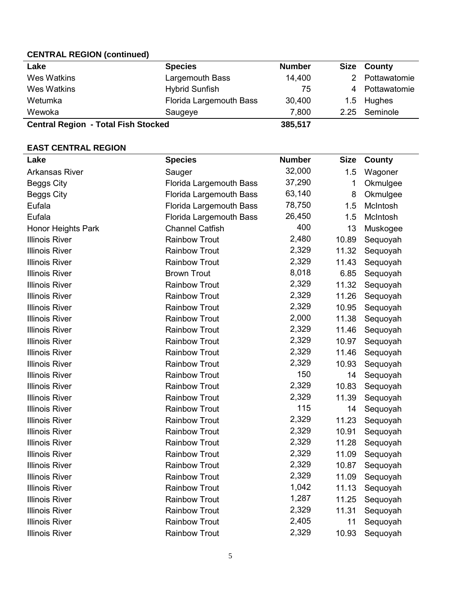### **CENTRAL REGION (continued)**

| Lake                                       | <b>Species</b>          | <b>Number</b> |      | Size County  |
|--------------------------------------------|-------------------------|---------------|------|--------------|
| Wes Watkins                                | Largemouth Bass         | 14,400        |      | Pottawatomie |
| Wes Watkins                                | <b>Hybrid Sunfish</b>   | 75            | 4    | Pottawatomie |
| Wetumka                                    | Florida Largemouth Bass | 30,400        |      | 1.5 Hughes   |
| Wewoka                                     | Saugeye                 | 7,800         | 2.25 | Seminole     |
| <b>Central Region - Total Fish Stocked</b> |                         | 385,517       |      |              |

### **EAST CENTRAL REGION**

| Lake                  | <b>Species</b>                 | <b>Number</b> | <b>Size</b> | <b>County</b> |
|-----------------------|--------------------------------|---------------|-------------|---------------|
| <b>Arkansas River</b> | Sauger                         | 32,000        | 1.5         | Wagoner       |
| <b>Beggs City</b>     | Florida Largemouth Bass        | 37,290        | 1           | Okmulgee      |
| <b>Beggs City</b>     | <b>Florida Largemouth Bass</b> | 63,140        | 8           | Okmulgee      |
| Eufala                | Florida Largemouth Bass        | 78,750        | 1.5         | McIntosh      |
| Eufala                | Florida Largemouth Bass        | 26,450        | 1.5         | McIntosh      |
| Honor Heights Park    | <b>Channel Catfish</b>         | 400           | 13          | Muskogee      |
| <b>Illinois River</b> | <b>Rainbow Trout</b>           | 2,480         | 10.89       | Sequoyah      |
| <b>Illinois River</b> | <b>Rainbow Trout</b>           | 2,329         | 11.32       | Sequoyah      |
| <b>Illinois River</b> | <b>Rainbow Trout</b>           | 2,329         | 11.43       | Sequoyah      |
| <b>Illinois River</b> | <b>Brown Trout</b>             | 8,018         | 6.85        | Sequoyah      |
| <b>Illinois River</b> | <b>Rainbow Trout</b>           | 2,329         | 11.32       | Sequoyah      |
| <b>Illinois River</b> | <b>Rainbow Trout</b>           | 2,329         | 11.26       | Sequoyah      |
| <b>Illinois River</b> | <b>Rainbow Trout</b>           | 2,329         | 10.95       | Sequoyah      |
| <b>Illinois River</b> | <b>Rainbow Trout</b>           | 2,000         | 11.38       | Sequoyah      |
| <b>Illinois River</b> | <b>Rainbow Trout</b>           | 2,329         | 11.46       | Sequoyah      |
| <b>Illinois River</b> | <b>Rainbow Trout</b>           | 2,329         | 10.97       | Sequoyah      |
| <b>Illinois River</b> | <b>Rainbow Trout</b>           | 2,329         | 11.46       | Sequoyah      |
| <b>Illinois River</b> | <b>Rainbow Trout</b>           | 2,329         | 10.93       | Sequoyah      |
| <b>Illinois River</b> | <b>Rainbow Trout</b>           | 150           | 14          | Sequoyah      |
| <b>Illinois River</b> | <b>Rainbow Trout</b>           | 2,329         | 10.83       | Sequoyah      |
| <b>Illinois River</b> | <b>Rainbow Trout</b>           | 2,329         | 11.39       | Sequoyah      |
| <b>Illinois River</b> | <b>Rainbow Trout</b>           | 115           | 14          | Sequoyah      |
| <b>Illinois River</b> | <b>Rainbow Trout</b>           | 2,329         | 11.23       | Sequoyah      |
| <b>Illinois River</b> | <b>Rainbow Trout</b>           | 2,329         | 10.91       | Sequoyah      |
| <b>Illinois River</b> | <b>Rainbow Trout</b>           | 2,329         | 11.28       | Sequoyah      |
| <b>Illinois River</b> | <b>Rainbow Trout</b>           | 2,329         | 11.09       | Sequoyah      |
| <b>Illinois River</b> | <b>Rainbow Trout</b>           | 2,329         | 10.87       | Sequoyah      |
| <b>Illinois River</b> | <b>Rainbow Trout</b>           | 2,329         | 11.09       | Sequoyah      |
| <b>Illinois River</b> | <b>Rainbow Trout</b>           | 1,042         | 11.13       | Sequoyah      |
| <b>Illinois River</b> | <b>Rainbow Trout</b>           | 1,287         | 11.25       | Sequoyah      |
| <b>Illinois River</b> | <b>Rainbow Trout</b>           | 2,329         | 11.31       | Sequoyah      |
| <b>Illinois River</b> | <b>Rainbow Trout</b>           | 2,405         | 11          | Sequoyah      |
| <b>Illinois River</b> | <b>Rainbow Trout</b>           | 2,329         | 10.93       | Sequoyah      |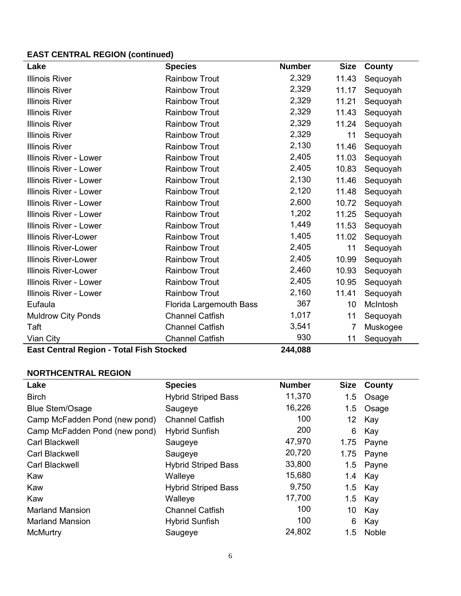# **EAST CENTRAL REGION (continued)**

| <b>Species</b>          | <b>Number</b>  | <b>Size</b>    | <b>County</b> |
|-------------------------|----------------|----------------|---------------|
| <b>Rainbow Trout</b>    | 2,329          | 11.43          | Sequoyah      |
| <b>Rainbow Trout</b>    | 2,329          | 11.17          | Sequoyah      |
| <b>Rainbow Trout</b>    | 2,329          | 11.21          | Sequoyah      |
| <b>Rainbow Trout</b>    | 2,329          | 11.43          | Sequoyah      |
| <b>Rainbow Trout</b>    | 2,329          | 11.24          | Sequoyah      |
| <b>Rainbow Trout</b>    | 2,329          | 11             | Sequoyah      |
| <b>Rainbow Trout</b>    | 2,130          | 11.46          | Sequoyah      |
| <b>Rainbow Trout</b>    | 2,405          | 11.03          | Sequoyah      |
| <b>Rainbow Trout</b>    | 2,405          | 10.83          | Sequoyah      |
| <b>Rainbow Trout</b>    | 2,130          | 11.46          | Sequoyah      |
| <b>Rainbow Trout</b>    | 2,120          | 11.48          | Sequoyah      |
| <b>Rainbow Trout</b>    | 2,600          | 10.72          | Sequoyah      |
| <b>Rainbow Trout</b>    | 1,202          | 11.25          | Sequoyah      |
| <b>Rainbow Trout</b>    | 1,449          | 11.53          | Sequoyah      |
| <b>Rainbow Trout</b>    | 1,405          | 11.02          | Sequoyah      |
| <b>Rainbow Trout</b>    | 2,405          | 11             | Sequoyah      |
| <b>Rainbow Trout</b>    | 2,405          | 10.99          | Sequoyah      |
| <b>Rainbow Trout</b>    | 2,460          | 10.93          | Sequoyah      |
| <b>Rainbow Trout</b>    | 2,405          | 10.95          | Sequoyah      |
| <b>Rainbow Trout</b>    | 2,160          | 11.41          | Sequoyah      |
| Florida Largemouth Bass | 367            | 10             | McIntosh      |
| <b>Channel Catfish</b>  | 1,017          | 11             | Sequoyah      |
| <b>Channel Catfish</b>  | 3,541          | 7              | Muskogee      |
| <b>Channel Catfish</b>  | 930            | 11             | Sequoyah      |
|                         | Tatal Fiale Of | <b>011.000</b> |               |

**East Central Region - Total Fish Stocked 244,088**

### **NORTHCENTRAL REGION**

| Lake                          | <b>Species</b>             | <b>Number</b> | <b>Size</b> | County |
|-------------------------------|----------------------------|---------------|-------------|--------|
| <b>Birch</b>                  | <b>Hybrid Striped Bass</b> | 11,370        | 1.5         | Osage  |
| <b>Blue Stem/Osage</b>        | Saugeye                    | 16,226        | 1.5         | Osage  |
| Camp McFadden Pond (new pond) | <b>Channel Catfish</b>     | 100           | 12          | Kay    |
| Camp McFadden Pond (new pond) | <b>Hybrid Sunfish</b>      | 200           | 6           | Kay    |
| <b>Carl Blackwell</b>         | Saugeye                    | 47,970        | 1.75        | Payne  |
| <b>Carl Blackwell</b>         | Saugeye                    | 20,720        | 1.75        | Payne  |
| Carl Blackwell                | <b>Hybrid Striped Bass</b> | 33,800        | 1.5         | Payne  |
| Kaw                           | Walleye                    | 15,680        | 1.4         | Kay    |
| Kaw                           | <b>Hybrid Striped Bass</b> | 9,750         | 1.5         | Kay    |
| Kaw                           | Walleye                    | 17,700        | 1.5         | Kay    |
| <b>Marland Mansion</b>        | <b>Channel Catfish</b>     | 100           | 10          | Kay    |
| <b>Marland Mansion</b>        | <b>Hybrid Sunfish</b>      | 100           | 6           | Kay    |
| <b>McMurtry</b>               | Saugeye                    | 24,802        | 1.5         | Noble  |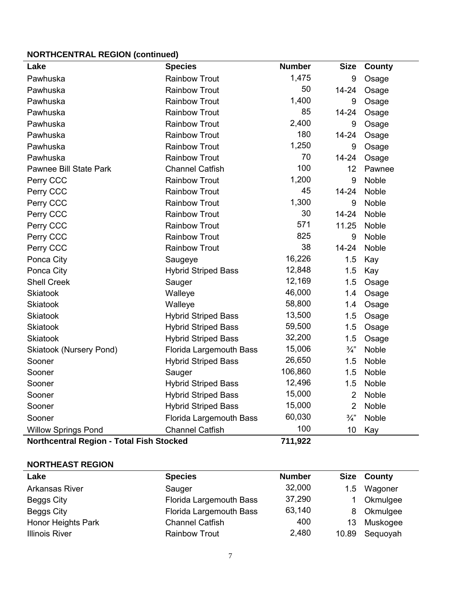### **NORTHCENTRAL REGION (continued)**

| . <u>.</u><br>Lake                              | <b>Species</b>                 | <b>Number</b> | <b>Size</b>     | County       |
|-------------------------------------------------|--------------------------------|---------------|-----------------|--------------|
| Pawhuska                                        | <b>Rainbow Trout</b>           | 1,475         | 9               | Osage        |
| Pawhuska                                        | <b>Rainbow Trout</b>           | 50            | 14-24           | Osage        |
| Pawhuska                                        | <b>Rainbow Trout</b>           | 1,400         | 9               | Osage        |
| Pawhuska                                        | <b>Rainbow Trout</b>           | 85            | 14-24           | Osage        |
| Pawhuska                                        | <b>Rainbow Trout</b>           | 2,400         | 9               | Osage        |
| Pawhuska                                        | <b>Rainbow Trout</b>           | 180           | 14-24           | Osage        |
| Pawhuska                                        | <b>Rainbow Trout</b>           | 1,250         | 9               | Osage        |
| Pawhuska                                        | <b>Rainbow Trout</b>           | 70            | 14-24           | Osage        |
| <b>Pawnee Bill State Park</b>                   | <b>Channel Catfish</b>         | 100           | 12              | Pawnee       |
| Perry CCC                                       | <b>Rainbow Trout</b>           | 1,200         | 9               | <b>Noble</b> |
| Perry CCC                                       | <b>Rainbow Trout</b>           | 45            | 14-24           | Noble        |
| Perry CCC                                       | <b>Rainbow Trout</b>           | 1,300         | 9               | Noble        |
| Perry CCC                                       | <b>Rainbow Trout</b>           | 30            | $14 - 24$       | <b>Noble</b> |
| Perry CCC                                       | <b>Rainbow Trout</b>           | 571           | 11.25           | Noble        |
| Perry CCC                                       | <b>Rainbow Trout</b>           | 825           | 9               | Noble        |
| Perry CCC                                       | <b>Rainbow Trout</b>           | 38            | $14 - 24$       | Noble        |
| Ponca City                                      | Saugeye                        | 16,226        | 1.5             | Kay          |
| Ponca City                                      | <b>Hybrid Striped Bass</b>     | 12,848        | 1.5             | Kay          |
| <b>Shell Creek</b>                              | Sauger                         | 12,169        | 1.5             | Osage        |
| <b>Skiatook</b>                                 | Walleye                        | 46,000        | 1.4             | Osage        |
| <b>Skiatook</b>                                 | Walleye                        | 58,800        | 1.4             | Osage        |
| <b>Skiatook</b>                                 | <b>Hybrid Striped Bass</b>     | 13,500        | 1.5             | Osage        |
| <b>Skiatook</b>                                 | <b>Hybrid Striped Bass</b>     | 59,500        | 1.5             | Osage        |
| <b>Skiatook</b>                                 | <b>Hybrid Striped Bass</b>     | 32,200        | 1.5             | Osage        |
| <b>Skiatook (Nursery Pond)</b>                  | Florida Largemouth Bass        | 15,006        | $\frac{3}{4}$   | Noble        |
| Sooner                                          | <b>Hybrid Striped Bass</b>     | 26,650        | 1.5             | Noble        |
| Sooner                                          | Sauger                         | 106,860       | 1.5             | Noble        |
| Sooner                                          | <b>Hybrid Striped Bass</b>     | 12,496        | 1.5             | <b>Noble</b> |
| Sooner                                          | <b>Hybrid Striped Bass</b>     | 15,000        | $\overline{2}$  | Noble        |
| Sooner                                          | <b>Hybrid Striped Bass</b>     | 15,000        | $\overline{2}$  | Noble        |
| Sooner                                          | <b>Florida Largemouth Bass</b> | 60,030        | $\frac{3}{4}$ " | Noble        |
| <b>Willow Springs Pond</b>                      | <b>Channel Catfish</b>         | 100           | 10              | Kay          |
| <b>Northcentral Region - Total Fish Stocked</b> |                                | 711,922       |                 |              |

### **NORTHEAST REGION**

| Lake                      | <b>Species</b>                 | <b>Number</b> |       | <b>Size County</b> |
|---------------------------|--------------------------------|---------------|-------|--------------------|
| <b>Arkansas River</b>     | Sauger                         | 32,000        |       | 1.5 Wagoner        |
| Beggs City                | Florida Largemouth Bass        | 37,290        |       | Okmulgee           |
| Beggs City                | <b>Florida Largemouth Bass</b> | 63,140        |       | 8 Okmulgee         |
| <b>Honor Heights Park</b> | <b>Channel Catfish</b>         | 400           | 13    | Muskogee           |
| <b>Illinois River</b>     | <b>Rainbow Trout</b>           | 2,480         | 10.89 | Sequoyah           |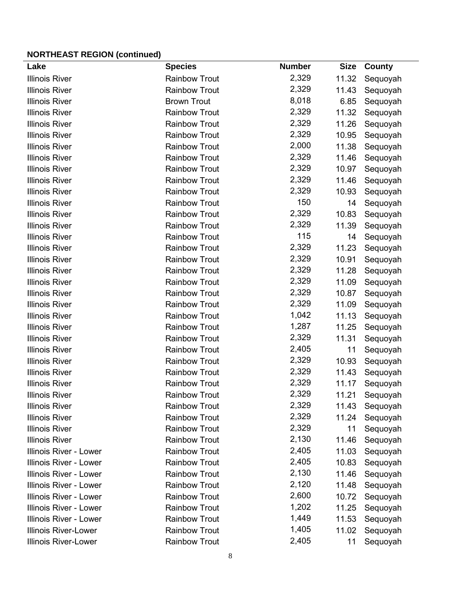# **NORTHEAST REGION (continued)**

| Lake                        | <b>Species</b>       | <b>Number</b> | <b>Size</b> | County   |
|-----------------------------|----------------------|---------------|-------------|----------|
| <b>Illinois River</b>       | <b>Rainbow Trout</b> | 2,329         | 11.32       | Sequoyah |
| <b>Illinois River</b>       | <b>Rainbow Trout</b> | 2,329         | 11.43       | Sequoyah |
| <b>Illinois River</b>       | <b>Brown Trout</b>   | 8,018         | 6.85        | Sequoyah |
| <b>Illinois River</b>       | <b>Rainbow Trout</b> | 2,329         | 11.32       | Sequoyah |
| <b>Illinois River</b>       | <b>Rainbow Trout</b> | 2,329         | 11.26       | Sequoyah |
| <b>Illinois River</b>       | <b>Rainbow Trout</b> | 2,329         | 10.95       | Sequoyah |
| <b>Illinois River</b>       | <b>Rainbow Trout</b> | 2,000         | 11.38       | Sequoyah |
| <b>Illinois River</b>       | <b>Rainbow Trout</b> | 2,329         | 11.46       | Sequoyah |
| <b>Illinois River</b>       | <b>Rainbow Trout</b> | 2,329         | 10.97       | Sequoyah |
| <b>Illinois River</b>       | <b>Rainbow Trout</b> | 2,329         | 11.46       | Sequoyah |
| <b>Illinois River</b>       | <b>Rainbow Trout</b> | 2,329         | 10.93       | Sequoyah |
| <b>Illinois River</b>       | <b>Rainbow Trout</b> | 150           | 14          | Sequoyah |
| <b>Illinois River</b>       | <b>Rainbow Trout</b> | 2,329         | 10.83       | Sequoyah |
| <b>Illinois River</b>       | <b>Rainbow Trout</b> | 2,329         | 11.39       | Sequoyah |
| <b>Illinois River</b>       | <b>Rainbow Trout</b> | 115           | 14          | Sequoyah |
| <b>Illinois River</b>       | <b>Rainbow Trout</b> | 2,329         | 11.23       | Sequoyah |
| <b>Illinois River</b>       | <b>Rainbow Trout</b> | 2,329         | 10.91       | Sequoyah |
| <b>Illinois River</b>       | <b>Rainbow Trout</b> | 2,329         | 11.28       | Sequoyah |
| <b>Illinois River</b>       | <b>Rainbow Trout</b> | 2,329         | 11.09       | Sequoyah |
| <b>Illinois River</b>       | <b>Rainbow Trout</b> | 2,329         | 10.87       | Sequoyah |
| <b>Illinois River</b>       | <b>Rainbow Trout</b> | 2,329         | 11.09       | Sequoyah |
| <b>Illinois River</b>       | <b>Rainbow Trout</b> | 1,042         | 11.13       | Sequoyah |
| <b>Illinois River</b>       | <b>Rainbow Trout</b> | 1,287         | 11.25       | Sequoyah |
| <b>Illinois River</b>       | <b>Rainbow Trout</b> | 2,329         | 11.31       | Sequoyah |
| <b>Illinois River</b>       | <b>Rainbow Trout</b> | 2,405         | 11          | Sequoyah |
| <b>Illinois River</b>       | <b>Rainbow Trout</b> | 2,329         | 10.93       | Sequoyah |
| <b>Illinois River</b>       | <b>Rainbow Trout</b> | 2,329         | 11.43       | Sequoyah |
| <b>Illinois River</b>       | <b>Rainbow Trout</b> | 2,329         | 11.17       | Sequoyah |
| <b>Illinois River</b>       | <b>Rainbow Trout</b> | 2,329         | 11.21       | Sequoyah |
| <b>Illinois River</b>       | <b>Rainbow Trout</b> | 2,329         | 11.43       | Sequoyah |
| <b>Illinois River</b>       | <b>Rainbow Trout</b> | 2,329         | 11.24       | Sequoyah |
| <b>Illinois River</b>       | <b>Rainbow Trout</b> | 2,329         | 11          | Sequoyah |
| <b>Illinois River</b>       | <b>Rainbow Trout</b> | 2,130         | 11.46       | Sequoyah |
| Illinois River - Lower      | <b>Rainbow Trout</b> | 2,405         | 11.03       | Sequoyah |
| Illinois River - Lower      | <b>Rainbow Trout</b> | 2,405         | 10.83       | Sequoyah |
| Illinois River - Lower      | <b>Rainbow Trout</b> | 2,130         | 11.46       | Sequoyah |
| Illinois River - Lower      | <b>Rainbow Trout</b> | 2,120         | 11.48       | Sequoyah |
| Illinois River - Lower      | <b>Rainbow Trout</b> | 2,600         | 10.72       | Sequoyah |
| Illinois River - Lower      | <b>Rainbow Trout</b> | 1,202         | 11.25       | Sequoyah |
| Illinois River - Lower      | <b>Rainbow Trout</b> | 1,449         | 11.53       | Sequoyah |
| <b>Illinois River-Lower</b> | <b>Rainbow Trout</b> | 1,405         | 11.02       | Sequoyah |
| <b>Illinois River-Lower</b> | <b>Rainbow Trout</b> | 2,405         | 11          | Sequoyah |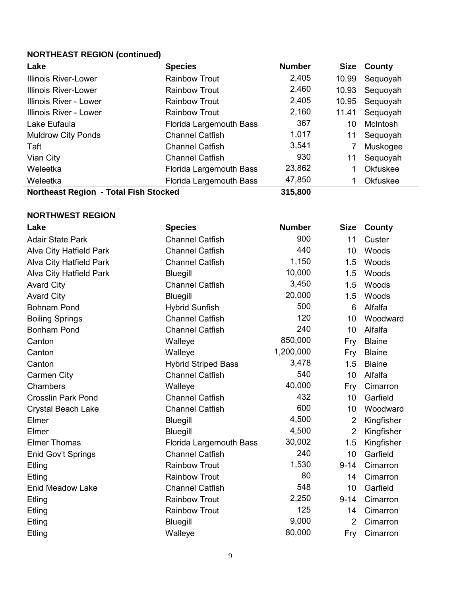# **NORTHEAST REGION (continued)**

| Lake                                  | <b>Species</b>          | <b>Number</b> | Size  | County          |
|---------------------------------------|-------------------------|---------------|-------|-----------------|
| <b>Illinois River-Lower</b>           | <b>Rainbow Trout</b>    | 2,405         | 10.99 | Sequoyah        |
| <b>Illinois River-Lower</b>           | <b>Rainbow Trout</b>    | 2,460         | 10.93 | Sequoyah        |
| Illinois River - Lower                | <b>Rainbow Trout</b>    | 2,405         | 10.95 | Sequoyah        |
| Illinois River - Lower                | <b>Rainbow Trout</b>    | 2,160         | 11.41 | Sequoyah        |
| Lake Eufaula                          | Florida Largemouth Bass | 367           | 10    | McIntosh        |
| <b>Muldrow City Ponds</b>             | <b>Channel Catfish</b>  | 1,017         | 11    | Sequoyah        |
| Taft                                  | <b>Channel Catfish</b>  | 3,541         |       | Muskogee        |
| Vian City                             | <b>Channel Catfish</b>  | 930           | 11    | Sequoyah        |
| Weleetka                              | Florida Largemouth Bass | 23,862        |       | <b>Okfuskee</b> |
| Weleetka                              | Florida Largemouth Bass | 47,850        |       | Okfuskee        |
| Northeast Region - Total Fish Stocked |                         | 315,800       |       |                 |

# **NORTHWEST REGION**

| Lake                           | <b>Species</b>                 | <b>Number</b> | <b>Size</b>    | County        |
|--------------------------------|--------------------------------|---------------|----------------|---------------|
| <b>Adair State Park</b>        | <b>Channel Catfish</b>         | 900           | 11             | Custer        |
| <b>Alva City Hatfield Park</b> | <b>Channel Catfish</b>         | 440           | 10             | Woods         |
| <b>Alva City Hatfield Park</b> | <b>Channel Catfish</b>         | 1,150         | 1.5            | Woods         |
| <b>Alva City Hatfield Park</b> | Bluegill                       | 10,000        | 1.5            | Woods         |
| <b>Avard City</b>              | <b>Channel Catfish</b>         | 3,450         | 1.5            | Woods         |
| <b>Avard City</b>              | <b>Bluegill</b>                | 20,000        | 1.5            | Woods         |
| <b>Bohnam Pond</b>             | <b>Hybrid Sunfish</b>          | 500           | 6              | Alfalfa       |
| <b>Boiling Springs</b>         | <b>Channel Catfish</b>         | 120           | 10             | Woodward      |
| <b>Bonham Pond</b>             | <b>Channel Catfish</b>         | 240           | 10             | Alfalfa       |
| Canton                         | Walleye                        | 850,000       | Fry            | <b>Blaine</b> |
| Canton                         | Walleye                        | 1,200,000     | Fry            | <b>Blaine</b> |
| Canton                         | <b>Hybrid Striped Bass</b>     | 3,478         | 1.5            | <b>Blaine</b> |
| Carmen City                    | <b>Channel Catfish</b>         | 540           | 10             | Alfalfa       |
| Chambers                       | Walleye                        | 40,000        | Fry            | Cimarron      |
| <b>Crosslin Park Pond</b>      | <b>Channel Catfish</b>         | 432           | 10             | Garfield      |
| <b>Crystal Beach Lake</b>      | <b>Channel Catfish</b>         | 600           | 10             | Woodward      |
| Elmer                          | <b>Bluegill</b>                | 4,500         | 2              | Kingfisher    |
| Elmer                          | <b>Bluegill</b>                | 4,500         | $\overline{2}$ | Kingfisher    |
| <b>Elmer Thomas</b>            | <b>Florida Largemouth Bass</b> | 30,002        | 1.5            | Kingfisher    |
| Enid Gov't Springs             | <b>Channel Catfish</b>         | 240           | 10             | Garfield      |
| Etling                         | <b>Rainbow Trout</b>           | 1,530         | $9 - 14$       | Cimarron      |
| Etling                         | <b>Rainbow Trout</b>           | 80            | 14             | Cimarron      |
| <b>Enid Meadow Lake</b>        | <b>Channel Catfish</b>         | 548           | 10             | Garfield      |
| Etling                         | <b>Rainbow Trout</b>           | 2,250         | $9 - 14$       | Cimarron      |
| Etling                         | <b>Rainbow Trout</b>           | 125           | 14             | Cimarron      |
| Etling                         | Bluegill                       | 9,000         | 2              | Cimarron      |
| Etling                         | Walleye                        | 80,000        | Fry            | Cimarron      |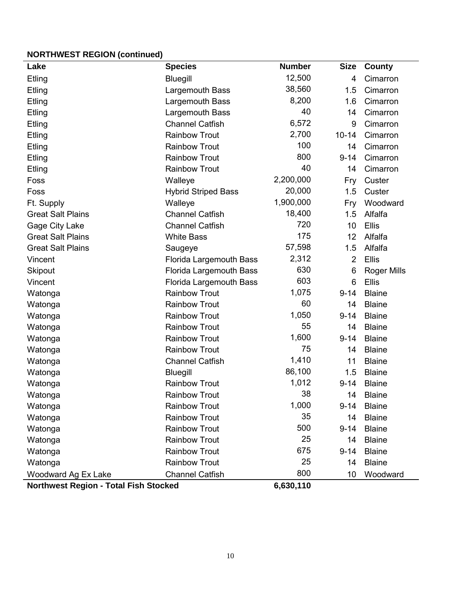# **NORTHWEST REGION (continued)**

| Lake                                         | <b>Species</b>             | <b>Number</b> | <b>Size</b>    | County             |
|----------------------------------------------|----------------------------|---------------|----------------|--------------------|
| Etling                                       | <b>Bluegill</b>            | 12,500        | $\overline{4}$ | Cimarron           |
| Etling                                       | Largemouth Bass            | 38,560        | 1.5            | Cimarron           |
| Etling                                       | Largemouth Bass            | 8,200         | 1.6            | Cimarron           |
| Etling                                       | Largemouth Bass            | 40            | 14             | Cimarron           |
| Etling                                       | <b>Channel Catfish</b>     | 6,572         | 9              | Cimarron           |
| Etling                                       | <b>Rainbow Trout</b>       | 2,700         | $10 - 14$      | Cimarron           |
| Etling                                       | <b>Rainbow Trout</b>       | 100           | 14             | Cimarron           |
| Etling                                       | <b>Rainbow Trout</b>       | 800           | $9 - 14$       | Cimarron           |
| Etling                                       | <b>Rainbow Trout</b>       | 40            | 14             | Cimarron           |
| Foss                                         | Walleye                    | 2,200,000     | Fry            | Custer             |
| Foss                                         | <b>Hybrid Striped Bass</b> | 20,000        | 1.5            | Custer             |
| Ft. Supply                                   | Walleye                    | 1,900,000     | Fry            | Woodward           |
| <b>Great Salt Plains</b>                     | <b>Channel Catfish</b>     | 18,400        | 1.5            | Alfalfa            |
| Gage City Lake                               | <b>Channel Catfish</b>     | 720           | 10             | Ellis              |
| <b>Great Salt Plains</b>                     | <b>White Bass</b>          | 175           | 12             | Alfalfa            |
| <b>Great Salt Plains</b>                     | Saugeye                    | 57,598        | 1.5            | Alfalfa            |
| Vincent                                      | Florida Largemouth Bass    | 2,312         | $\overline{2}$ | <b>Ellis</b>       |
| Skipout                                      | Florida Largemouth Bass    | 630           | 6              | <b>Roger Mills</b> |
| Vincent                                      | Florida Largemouth Bass    | 603           | 6              | <b>Ellis</b>       |
| Watonga                                      | <b>Rainbow Trout</b>       | 1,075         | $9 - 14$       | <b>Blaine</b>      |
| Watonga                                      | <b>Rainbow Trout</b>       | 60            | 14             | <b>Blaine</b>      |
| Watonga                                      | <b>Rainbow Trout</b>       | 1,050         | $9 - 14$       | <b>Blaine</b>      |
| Watonga                                      | <b>Rainbow Trout</b>       | 55            | 14             | <b>Blaine</b>      |
| Watonga                                      | <b>Rainbow Trout</b>       | 1,600         | $9 - 14$       | <b>Blaine</b>      |
| Watonga                                      | <b>Rainbow Trout</b>       | 75            | 14             | <b>Blaine</b>      |
| Watonga                                      | <b>Channel Catfish</b>     | 1,410         | 11             | <b>Blaine</b>      |
| Watonga                                      | <b>Bluegill</b>            | 86,100        | 1.5            | <b>Blaine</b>      |
| Watonga                                      | <b>Rainbow Trout</b>       | 1,012         | $9 - 14$       | <b>Blaine</b>      |
| Watonga                                      | <b>Rainbow Trout</b>       | 38            | 14             | <b>Blaine</b>      |
| Watonga                                      | <b>Rainbow Trout</b>       | 1,000         | $9 - 14$       | <b>Blaine</b>      |
| Watonga                                      | <b>Rainbow Trout</b>       | 35            | 14             | <b>Blaine</b>      |
| Watonga                                      | <b>Rainbow Trout</b>       | 500           | $9 - 14$       | <b>Blaine</b>      |
| Watonga                                      | <b>Rainbow Trout</b>       | 25            | 14             | <b>Blaine</b>      |
| Watonga                                      | <b>Rainbow Trout</b>       | 675           | $9 - 14$       | <b>Blaine</b>      |
| Watonga                                      | <b>Rainbow Trout</b>       | 25            | 14             | <b>Blaine</b>      |
| Woodward Ag Ex Lake                          | <b>Channel Catfish</b>     | 800           | 10             | Woodward           |
| <b>Northwest Region - Total Fish Stocked</b> |                            | 6,630,110     |                |                    |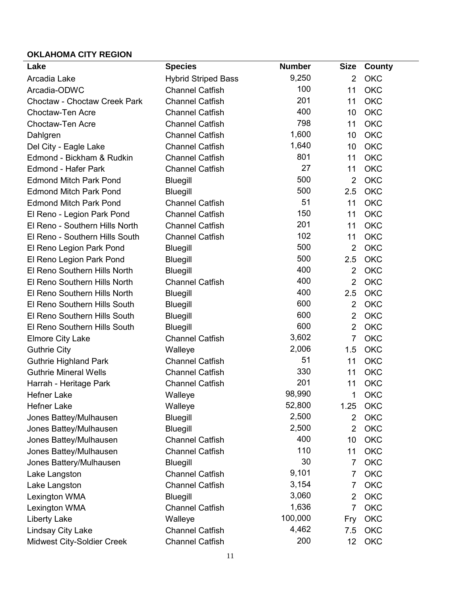# **OKLAHOMA CITY REGION**

| Lake                                | <b>Species</b>             | <b>Number</b> | <b>Size</b>    | <b>County</b> |
|-------------------------------------|----------------------------|---------------|----------------|---------------|
| Arcadia Lake                        | <b>Hybrid Striped Bass</b> | 9,250         | $\overline{2}$ | <b>OKC</b>    |
| Arcadia-ODWC                        | <b>Channel Catfish</b>     | 100           | 11             | <b>OKC</b>    |
| <b>Choctaw - Choctaw Creek Park</b> | <b>Channel Catfish</b>     | 201           | 11             | <b>OKC</b>    |
| <b>Choctaw-Ten Acre</b>             | <b>Channel Catfish</b>     | 400           | 10             | <b>OKC</b>    |
| <b>Choctaw-Ten Acre</b>             | <b>Channel Catfish</b>     | 798           | 11             | <b>OKC</b>    |
| Dahlgren                            | <b>Channel Catfish</b>     | 1,600         | 10             | <b>OKC</b>    |
| Del City - Eagle Lake               | <b>Channel Catfish</b>     | 1,640         | 10             | <b>OKC</b>    |
| Edmond - Bickham & Rudkin           | <b>Channel Catfish</b>     | 801           | 11             | <b>OKC</b>    |
| <b>Edmond - Hafer Park</b>          | <b>Channel Catfish</b>     | 27            | 11             | <b>OKC</b>    |
| <b>Edmond Mitch Park Pond</b>       | <b>Bluegill</b>            | 500           | $\overline{2}$ | <b>OKC</b>    |
| <b>Edmond Mitch Park Pond</b>       | <b>Bluegill</b>            | 500           | 2.5            | <b>OKC</b>    |
| <b>Edmond Mitch Park Pond</b>       | <b>Channel Catfish</b>     | 51            | 11             | <b>OKC</b>    |
| El Reno - Legion Park Pond          | <b>Channel Catfish</b>     | 150           | 11             | <b>OKC</b>    |
| El Reno - Southern Hills North      | <b>Channel Catfish</b>     | 201           | 11             | <b>OKC</b>    |
| El Reno - Southern Hills South      | <b>Channel Catfish</b>     | 102           | 11             | <b>OKC</b>    |
| El Reno Legion Park Pond            | Bluegill                   | 500           | $\overline{2}$ | <b>OKC</b>    |
| El Reno Legion Park Pond            | <b>Bluegill</b>            | 500           | 2.5            | <b>OKC</b>    |
| El Reno Southern Hills North        | Bluegill                   | 400           | $\overline{2}$ | <b>OKC</b>    |
| El Reno Southern Hills North        | <b>Channel Catfish</b>     | 400           | $\overline{2}$ | <b>OKC</b>    |
| El Reno Southern Hills North        | <b>Bluegill</b>            | 400           | 2.5            | <b>OKC</b>    |
| El Reno Southern Hills South        | <b>Bluegill</b>            | 600           | $\overline{2}$ | <b>OKC</b>    |
| El Reno Southern Hills South        | <b>Bluegill</b>            | 600           | $\overline{2}$ | <b>OKC</b>    |
| El Reno Southern Hills South        | <b>Bluegill</b>            | 600           | $\overline{2}$ | <b>OKC</b>    |
| <b>Elmore City Lake</b>             | <b>Channel Catfish</b>     | 3,602         | $\overline{7}$ | <b>OKC</b>    |
| <b>Guthrie City</b>                 | Walleye                    | 2,006         | 1.5            | <b>OKC</b>    |
| <b>Guthrie Highland Park</b>        | <b>Channel Catfish</b>     | 51            | 11             | <b>OKC</b>    |
| <b>Guthrie Mineral Wells</b>        | <b>Channel Catfish</b>     | 330           | 11             | <b>OKC</b>    |
| Harrah - Heritage Park              | <b>Channel Catfish</b>     | 201           | 11             | <b>OKC</b>    |
| Hefner Lake                         | Walleye                    | 98,990        | 1              | OKC           |
| <b>Hefner Lake</b>                  | Walleye                    | 52,800        | 1.25           | OKC           |
| Jones Battey/Mulhausen              | <b>Bluegill</b>            | 2,500         | $\overline{2}$ | <b>OKC</b>    |
| Jones Battey/Mulhausen              | <b>Bluegill</b>            | 2,500         | $\overline{2}$ | OKC           |
| Jones Battey/Mulhausen              | <b>Channel Catfish</b>     | 400           | 10             | <b>OKC</b>    |
| Jones Battey/Mulhausen              | <b>Channel Catfish</b>     | 110           | 11             | <b>OKC</b>    |
| Jones Battery/Mulhausen             | <b>Bluegill</b>            | 30            | $\overline{7}$ | <b>OKC</b>    |
| Lake Langston                       | <b>Channel Catfish</b>     | 9,101         | 7              | OKC           |
| Lake Langston                       | <b>Channel Catfish</b>     | 3,154         | $\overline{7}$ | <b>OKC</b>    |
| Lexington WMA                       | <b>Bluegill</b>            | 3,060         | $\overline{2}$ | <b>OKC</b>    |
| Lexington WMA                       | <b>Channel Catfish</b>     | 1,636         | $\overline{7}$ | <b>OKC</b>    |
| <b>Liberty Lake</b>                 | Walleye                    | 100,000       | Fry            | OKC           |
| Lindsay City Lake                   | <b>Channel Catfish</b>     | 4,462         | 7.5            | <b>OKC</b>    |
| Midwest City-Soldier Creek          | <b>Channel Catfish</b>     | 200           | 12             | OKC           |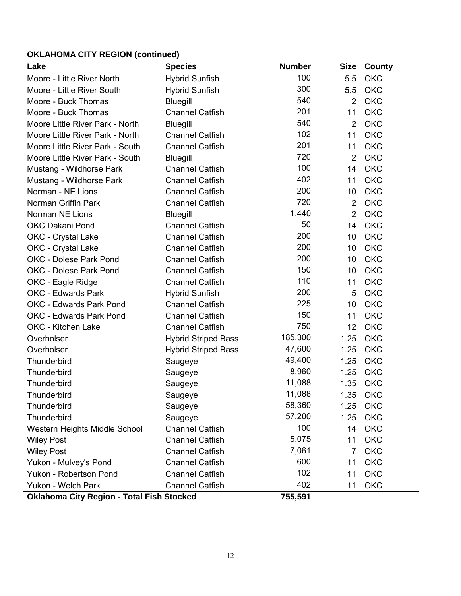# **OKLAHOMA CITY REGION (continued)**

| Lake                                             | <b>Species</b>             | <b>Number</b> | <b>Size</b>    | County     |
|--------------------------------------------------|----------------------------|---------------|----------------|------------|
| Moore - Little River North                       | <b>Hybrid Sunfish</b>      | 100           | 5.5            | <b>OKC</b> |
| Moore - Little River South                       | <b>Hybrid Sunfish</b>      | 300           | 5.5            | <b>OKC</b> |
| Moore - Buck Thomas                              | <b>Bluegill</b>            | 540           | $\overline{2}$ | <b>OKC</b> |
| Moore - Buck Thomas                              | <b>Channel Catfish</b>     | 201           | 11             | <b>OKC</b> |
| Moore Little River Park - North                  | <b>Bluegill</b>            | 540           | $\overline{2}$ | <b>OKC</b> |
| Moore Little River Park - North                  | <b>Channel Catfish</b>     | 102           | 11             | <b>OKC</b> |
| Moore Little River Park - South                  | <b>Channel Catfish</b>     | 201           | 11             | OKC        |
| <b>Moore Little River Park - South</b>           | <b>Bluegill</b>            | 720           | $\overline{2}$ | OKC        |
| Mustang - Wildhorse Park                         | <b>Channel Catfish</b>     | 100           | 14             | <b>OKC</b> |
| Mustang - Wildhorse Park                         | <b>Channel Catfish</b>     | 402           | 11             | <b>OKC</b> |
| Norman - NE Lions                                | <b>Channel Catfish</b>     | 200           | 10             | <b>OKC</b> |
| Norman Griffin Park                              | <b>Channel Catfish</b>     | 720           | $\overline{2}$ | <b>OKC</b> |
| <b>Norman NE Lions</b>                           | <b>Bluegill</b>            | 1,440         | $\overline{2}$ | <b>OKC</b> |
| <b>OKC Dakani Pond</b>                           | <b>Channel Catfish</b>     | 50            | 14             | <b>OKC</b> |
| OKC - Crystal Lake                               | <b>Channel Catfish</b>     | 200           | 10             | OKC        |
| <b>OKC</b> - Crystal Lake                        | <b>Channel Catfish</b>     | 200           | 10             | OKC        |
| <b>OKC - Dolese Park Pond</b>                    | <b>Channel Catfish</b>     | 200           | 10             | OKC        |
| <b>OKC - Dolese Park Pond</b>                    | <b>Channel Catfish</b>     | 150           | 10             | OKC        |
| OKC - Eagle Ridge                                | <b>Channel Catfish</b>     | 110           | 11             | OKC        |
| <b>OKC - Edwards Park</b>                        | <b>Hybrid Sunfish</b>      | 200           | 5              | OKC        |
| <b>OKC - Edwards Park Pond</b>                   | <b>Channel Catfish</b>     | 225           | 10             | <b>OKC</b> |
| <b>OKC - Edwards Park Pond</b>                   | <b>Channel Catfish</b>     | 150           | 11             | <b>OKC</b> |
| OKC - Kitchen Lake                               | <b>Channel Catfish</b>     | 750           | 12             | OKC        |
| Overholser                                       | <b>Hybrid Striped Bass</b> | 185,300       | 1.25           | OKC        |
| Overholser                                       | <b>Hybrid Striped Bass</b> | 47,600        | 1.25           | OKC        |
| <b>Thunderbird</b>                               | Saugeye                    | 49,400        | 1.25           | OKC        |
| <b>Thunderbird</b>                               | Saugeye                    | 8,960         | 1.25           | OKC        |
| <b>Thunderbird</b>                               | Saugeye                    | 11,088        | 1.35           | OKC        |
| Thunderbird                                      | Saugeye                    | 11,088        |                | 1.35 OKC   |
| <b>Thunderbird</b>                               | Saugeye                    | 58,360        | 1.25           | <b>OKC</b> |
| <b>Thunderbird</b>                               | Saugeye                    | 57,200        | 1.25           | OKC        |
| Western Heights Middle School                    | <b>Channel Catfish</b>     | 100           | 14             | OKC        |
| <b>Wiley Post</b>                                | <b>Channel Catfish</b>     | 5,075         | 11             | <b>OKC</b> |
| <b>Wiley Post</b>                                | <b>Channel Catfish</b>     | 7,061         | 7              | <b>OKC</b> |
| Yukon - Mulvey's Pond                            | <b>Channel Catfish</b>     | 600           | 11             | OKC        |
| Yukon - Robertson Pond                           | <b>Channel Catfish</b>     | 102           | 11             | <b>OKC</b> |
| Yukon - Welch Park                               | <b>Channel Catfish</b>     | 402           | 11             | OKC        |
| <b>Oklahoma City Region - Total Fish Stocked</b> |                            | 755,591       |                |            |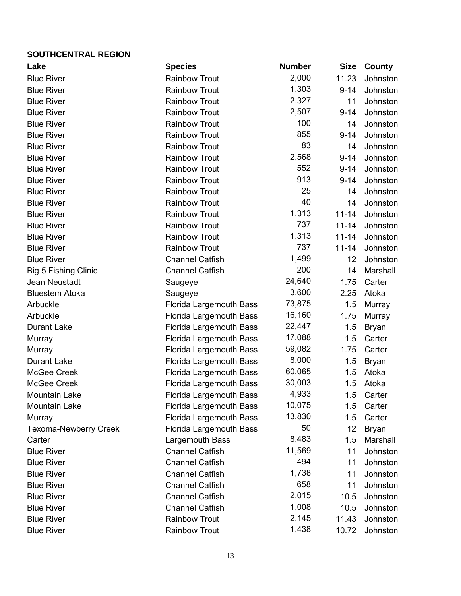### **SOUTHCENTRAL REGION**

| Lake                         | <b>Species</b>                 | <b>Number</b> | <b>Size</b> | County       |
|------------------------------|--------------------------------|---------------|-------------|--------------|
| <b>Blue River</b>            | <b>Rainbow Trout</b>           | 2,000         | 11.23       | Johnston     |
| <b>Blue River</b>            | <b>Rainbow Trout</b>           | 1,303         | $9 - 14$    | Johnston     |
| <b>Blue River</b>            | <b>Rainbow Trout</b>           | 2,327         | 11          | Johnston     |
| <b>Blue River</b>            | <b>Rainbow Trout</b>           | 2,507         | $9 - 14$    | Johnston     |
| <b>Blue River</b>            | <b>Rainbow Trout</b>           | 100           | 14          | Johnston     |
| <b>Blue River</b>            | <b>Rainbow Trout</b>           | 855           | $9 - 14$    | Johnston     |
| <b>Blue River</b>            | <b>Rainbow Trout</b>           | 83            | 14          | Johnston     |
| <b>Blue River</b>            | <b>Rainbow Trout</b>           | 2,568         | $9 - 14$    | Johnston     |
| <b>Blue River</b>            | <b>Rainbow Trout</b>           | 552           | $9 - 14$    | Johnston     |
| <b>Blue River</b>            | <b>Rainbow Trout</b>           | 913           | $9 - 14$    | Johnston     |
| <b>Blue River</b>            | <b>Rainbow Trout</b>           | 25            | 14          | Johnston     |
| <b>Blue River</b>            | <b>Rainbow Trout</b>           | 40            | 14          | Johnston     |
| <b>Blue River</b>            | <b>Rainbow Trout</b>           | 1,313         | $11 - 14$   | Johnston     |
| <b>Blue River</b>            | <b>Rainbow Trout</b>           | 737           | $11 - 14$   | Johnston     |
| <b>Blue River</b>            | <b>Rainbow Trout</b>           | 1,313         | $11 - 14$   | Johnston     |
| <b>Blue River</b>            | <b>Rainbow Trout</b>           | 737           | $11 - 14$   | Johnston     |
| <b>Blue River</b>            | <b>Channel Catfish</b>         | 1,499         | 12          | Johnston     |
| <b>Big 5 Fishing Clinic</b>  | <b>Channel Catfish</b>         | 200           | 14          | Marshall     |
| Jean Neustadt                | Saugeye                        | 24,640        | 1.75        | Carter       |
| <b>Bluestem Atoka</b>        | Saugeye                        | 3,600         | 2.25        | Atoka        |
| Arbuckle                     | <b>Florida Largemouth Bass</b> | 73,875        | 1.5         | Murray       |
| Arbuckle                     | Florida Largemouth Bass        | 16,160        | 1.75        | Murray       |
| <b>Durant Lake</b>           | Florida Largemouth Bass        | 22,447        | 1.5         | <b>Bryan</b> |
| Murray                       | Florida Largemouth Bass        | 17,088        | 1.5         | Carter       |
| Murray                       | Florida Largemouth Bass        | 59,082        | 1.75        | Carter       |
| <b>Durant Lake</b>           | Florida Largemouth Bass        | 8,000         | 1.5         | <b>Bryan</b> |
| McGee Creek                  | <b>Florida Largemouth Bass</b> | 60,065        | 1.5         | Atoka        |
| McGee Creek                  | Florida Largemouth Bass        | 30,003        | 1.5         | Atoka        |
| Mountain Lake                | <b>Florida Largemouth Bass</b> | 4,933         |             | 1.5 Carter   |
| Mountain Lake                | <b>Florida Largemouth Bass</b> | 10,075        | 1.5         | Carter       |
| Murray                       | <b>Florida Largemouth Bass</b> | 13,830        | 1.5         | Carter       |
| <b>Texoma-Newberry Creek</b> | <b>Florida Largemouth Bass</b> | 50            | 12          | <b>Bryan</b> |
| Carter                       | Largemouth Bass                | 8,483         | 1.5         | Marshall     |
| <b>Blue River</b>            | <b>Channel Catfish</b>         | 11,569        | 11          | Johnston     |
| <b>Blue River</b>            | <b>Channel Catfish</b>         | 494           | 11          | Johnston     |
| <b>Blue River</b>            | <b>Channel Catfish</b>         | 1,738         | 11          | Johnston     |
| <b>Blue River</b>            | <b>Channel Catfish</b>         | 658           | 11          | Johnston     |
| <b>Blue River</b>            | <b>Channel Catfish</b>         | 2,015         | 10.5        | Johnston     |
| <b>Blue River</b>            | <b>Channel Catfish</b>         | 1,008         | 10.5        | Johnston     |
| <b>Blue River</b>            | <b>Rainbow Trout</b>           | 2,145         | 11.43       | Johnston     |
| <b>Blue River</b>            | <b>Rainbow Trout</b>           | 1,438         | 10.72       | Johnston     |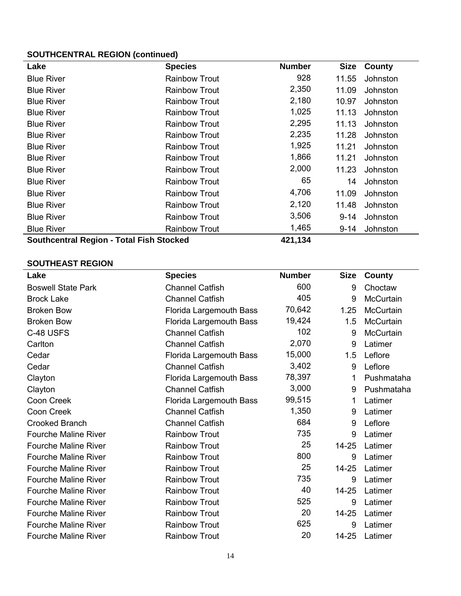### **SOUTHCENTRAL REGION (continued)**

| Lake                                            | <b>Species</b>       | <b>Number</b> | <b>Size</b> | County   |
|-------------------------------------------------|----------------------|---------------|-------------|----------|
| <b>Blue River</b>                               | <b>Rainbow Trout</b> | 928           | 11.55       | Johnston |
| <b>Blue River</b>                               | <b>Rainbow Trout</b> | 2,350         | 11.09       | Johnston |
| <b>Blue River</b>                               | <b>Rainbow Trout</b> | 2,180         | 10.97       | Johnston |
| <b>Blue River</b>                               | <b>Rainbow Trout</b> | 1,025         | 11.13       | Johnston |
| <b>Blue River</b>                               | <b>Rainbow Trout</b> | 2,295         | 11.13       | Johnston |
| <b>Blue River</b>                               | <b>Rainbow Trout</b> | 2,235         | 11.28       | Johnston |
| <b>Blue River</b>                               | <b>Rainbow Trout</b> | 1,925         | 11.21       | Johnston |
| <b>Blue River</b>                               | <b>Rainbow Trout</b> | 1,866         | 11.21       | Johnston |
| <b>Blue River</b>                               | <b>Rainbow Trout</b> | 2,000         | 11.23       | Johnston |
| <b>Blue River</b>                               | <b>Rainbow Trout</b> | 65            | 14          | Johnston |
| <b>Blue River</b>                               | <b>Rainbow Trout</b> | 4,706         | 11.09       | Johnston |
| <b>Blue River</b>                               | <b>Rainbow Trout</b> | 2,120         | 11.48       | Johnston |
| <b>Blue River</b>                               | <b>Rainbow Trout</b> | 3,506         | $9 - 14$    | Johnston |
| <b>Blue River</b>                               | <b>Rainbow Trout</b> | 1,465         | 9-14        | Johnston |
| <b>Southcentral Region - Total Fish Stocked</b> |                      | 421,134       |             |          |

### **SOUTHEAST REGION**

| Lake                        | <b>Species</b>                 | <b>Number</b> | <b>Size</b> | County           |
|-----------------------------|--------------------------------|---------------|-------------|------------------|
| <b>Boswell State Park</b>   | <b>Channel Catfish</b>         | 600           | 9           | Choctaw          |
| <b>Brock Lake</b>           | <b>Channel Catfish</b>         | 405           | 9           | <b>McCurtain</b> |
| <b>Broken Bow</b>           | Florida Largemouth Bass        | 70,642        | 1.25        | <b>McCurtain</b> |
| <b>Broken Bow</b>           | <b>Florida Largemouth Bass</b> | 19,424        | 1.5         | McCurtain        |
| C-48 USFS                   | <b>Channel Catfish</b>         | 102           | 9           | <b>McCurtain</b> |
| Carlton                     | <b>Channel Catfish</b>         | 2,070         | 9           | Latimer          |
| Cedar                       | Florida Largemouth Bass        | 15,000        | 1.5         | Leflore          |
| Cedar                       | <b>Channel Catfish</b>         | 3,402         | 9           | Leflore          |
| Clayton                     | Florida Largemouth Bass        | 78,397        | 1           | Pushmataha       |
| Clayton                     | <b>Channel Catfish</b>         | 3,000         | 9           | Pushmataha       |
| Coon Creek                  | Florida Largemouth Bass        | 99,515        | 1           | Latimer          |
| Coon Creek                  | <b>Channel Catfish</b>         | 1,350         | 9           | Latimer          |
| <b>Crooked Branch</b>       | <b>Channel Catfish</b>         | 684           | 9           | Leflore          |
| <b>Fourche Maline River</b> | <b>Rainbow Trout</b>           | 735           | 9           | Latimer          |
| <b>Fourche Maline River</b> | <b>Rainbow Trout</b>           | 25            | 14-25       | Latimer          |
| <b>Fourche Maline River</b> | <b>Rainbow Trout</b>           | 800           | 9           | Latimer          |
| <b>Fourche Maline River</b> | <b>Rainbow Trout</b>           | 25            | 14-25       | Latimer          |
| <b>Fourche Maline River</b> | <b>Rainbow Trout</b>           | 735           | 9           | Latimer          |
| <b>Fourche Maline River</b> | <b>Rainbow Trout</b>           | 40            | 14-25       | Latimer          |
| <b>Fourche Maline River</b> | <b>Rainbow Trout</b>           | 525           | 9           | Latimer          |
| <b>Fourche Maline River</b> | <b>Rainbow Trout</b>           | 20            | 14-25       | Latimer          |
| <b>Fourche Maline River</b> | <b>Rainbow Trout</b>           | 625           | 9           | Latimer          |
| <b>Fourche Maline River</b> | <b>Rainbow Trout</b>           | 20            | 14-25       | Latimer          |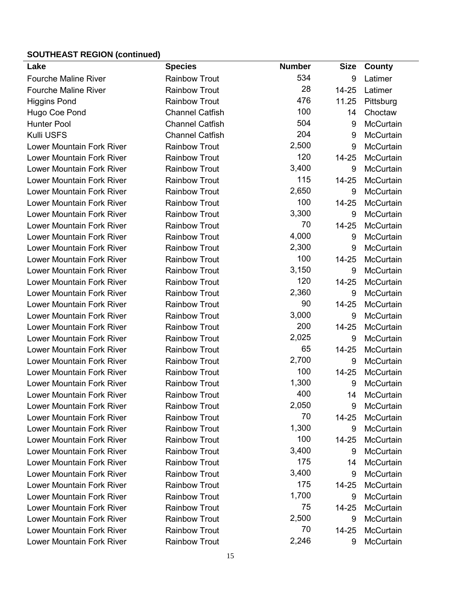# **SOUTHEAST REGION (continued)**

| Lake                             | <b>Species</b>         | <b>Number</b> | <b>Size</b> | County           |
|----------------------------------|------------------------|---------------|-------------|------------------|
| <b>Fourche Maline River</b>      | <b>Rainbow Trout</b>   | 534           | 9           | Latimer          |
| <b>Fourche Maline River</b>      | <b>Rainbow Trout</b>   | 28            | 14-25       | Latimer          |
| <b>Higgins Pond</b>              | <b>Rainbow Trout</b>   | 476           | 11.25       | Pittsburg        |
| Hugo Coe Pond                    | <b>Channel Catfish</b> | 100           | 14          | Choctaw          |
| <b>Hunter Pool</b>               | <b>Channel Catfish</b> | 504           | 9           | McCurtain        |
| Kulli USFS                       | <b>Channel Catfish</b> | 204           | 9           | McCurtain        |
| <b>Lower Mountain Fork River</b> | <b>Rainbow Trout</b>   | 2,500         | 9           | McCurtain        |
| <b>Lower Mountain Fork River</b> | <b>Rainbow Trout</b>   | 120           | 14-25       | McCurtain        |
| <b>Lower Mountain Fork River</b> | <b>Rainbow Trout</b>   | 3,400         | 9           | McCurtain        |
| <b>Lower Mountain Fork River</b> | <b>Rainbow Trout</b>   | 115           | 14-25       | McCurtain        |
| <b>Lower Mountain Fork River</b> | <b>Rainbow Trout</b>   | 2,650         | 9           | McCurtain        |
| <b>Lower Mountain Fork River</b> | <b>Rainbow Trout</b>   | 100           | 14-25       | McCurtain        |
| <b>Lower Mountain Fork River</b> | <b>Rainbow Trout</b>   | 3,300         | 9           | <b>McCurtain</b> |
| <b>Lower Mountain Fork River</b> | <b>Rainbow Trout</b>   | 70            | 14-25       | McCurtain        |
| <b>Lower Mountain Fork River</b> | <b>Rainbow Trout</b>   | 4,000         | 9           | McCurtain        |
| <b>Lower Mountain Fork River</b> | <b>Rainbow Trout</b>   | 2,300         | 9           | <b>McCurtain</b> |
| <b>Lower Mountain Fork River</b> | <b>Rainbow Trout</b>   | 100           | 14-25       | <b>McCurtain</b> |
| <b>Lower Mountain Fork River</b> | <b>Rainbow Trout</b>   | 3,150         | 9           | McCurtain        |
| <b>Lower Mountain Fork River</b> | <b>Rainbow Trout</b>   | 120           | 14-25       | McCurtain        |
| <b>Lower Mountain Fork River</b> | <b>Rainbow Trout</b>   | 2,360         | 9           | McCurtain        |
| <b>Lower Mountain Fork River</b> | <b>Rainbow Trout</b>   | 90            | 14-25       | McCurtain        |
| <b>Lower Mountain Fork River</b> | <b>Rainbow Trout</b>   | 3,000         | 9           | <b>McCurtain</b> |
| <b>Lower Mountain Fork River</b> | <b>Rainbow Trout</b>   | 200           | 14-25       | McCurtain        |
| <b>Lower Mountain Fork River</b> | <b>Rainbow Trout</b>   | 2,025         | 9           | McCurtain        |
| <b>Lower Mountain Fork River</b> | <b>Rainbow Trout</b>   | 65            | 14-25       | <b>McCurtain</b> |
| <b>Lower Mountain Fork River</b> | <b>Rainbow Trout</b>   | 2,700         | 9           | McCurtain        |
| <b>Lower Mountain Fork River</b> | <b>Rainbow Trout</b>   | 100           | 14-25       | McCurtain        |
| Lower Mountain Fork River        | <b>Rainbow Trout</b>   | 1,300         | 9           | McCurtain        |
| Lower Mountain Fork River        | <b>Rainbow Trout</b>   | 400           | 14          | McCurtain        |
| <b>Lower Mountain Fork River</b> | <b>Rainbow Trout</b>   | 2,050         | 9           | <b>McCurtain</b> |
| Lower Mountain Fork River        | <b>Rainbow Trout</b>   | 70            | 14-25       | <b>McCurtain</b> |
| <b>Lower Mountain Fork River</b> | <b>Rainbow Trout</b>   | 1,300         | 9           | <b>McCurtain</b> |
| <b>Lower Mountain Fork River</b> | <b>Rainbow Trout</b>   | 100           | 14-25       | <b>McCurtain</b> |
| <b>Lower Mountain Fork River</b> | <b>Rainbow Trout</b>   | 3,400         | 9           | <b>McCurtain</b> |
| <b>Lower Mountain Fork River</b> | <b>Rainbow Trout</b>   | 175           | 14          | <b>McCurtain</b> |
| Lower Mountain Fork River        | <b>Rainbow Trout</b>   | 3,400         | 9           | <b>McCurtain</b> |
| <b>Lower Mountain Fork River</b> | <b>Rainbow Trout</b>   | 175           | 14-25       | McCurtain        |
| <b>Lower Mountain Fork River</b> | <b>Rainbow Trout</b>   | 1,700         | 9           | <b>McCurtain</b> |
| Lower Mountain Fork River        | <b>Rainbow Trout</b>   | 75            | 14-25       | <b>McCurtain</b> |
| Lower Mountain Fork River        | <b>Rainbow Trout</b>   | 2,500         | 9           | <b>McCurtain</b> |
| <b>Lower Mountain Fork River</b> | <b>Rainbow Trout</b>   | 70            | 14-25       | McCurtain        |
| <b>Lower Mountain Fork River</b> | <b>Rainbow Trout</b>   | 2,246         | 9           | McCurtain        |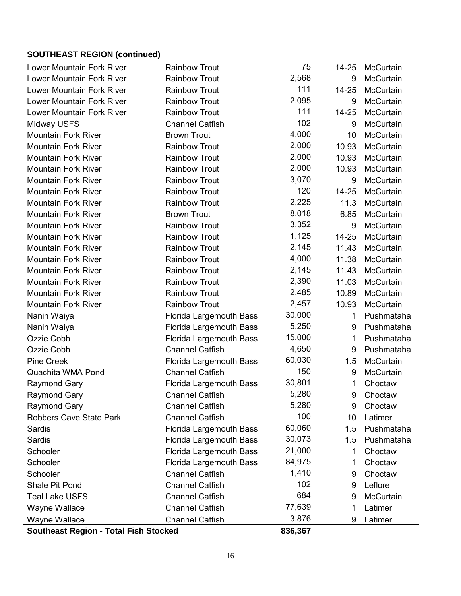### **SOUTHEAST REGION (continued)**

| <b>Lower Mountain Fork River</b> | <b>Rainbow Trout</b>           | 75      | 14-25 | McCurtain  |
|----------------------------------|--------------------------------|---------|-------|------------|
| <b>Lower Mountain Fork River</b> | <b>Rainbow Trout</b>           | 2,568   | 9     | McCurtain  |
| <b>Lower Mountain Fork River</b> | <b>Rainbow Trout</b>           | 111     | 14-25 | McCurtain  |
| <b>Lower Mountain Fork River</b> | <b>Rainbow Trout</b>           | 2,095   | 9     | McCurtain  |
| <b>Lower Mountain Fork River</b> | <b>Rainbow Trout</b>           | 111     | 14-25 | McCurtain  |
| Midway USFS                      | <b>Channel Catfish</b>         | 102     | 9     | McCurtain  |
| <b>Mountain Fork River</b>       | <b>Brown Trout</b>             | 4,000   | 10    | McCurtain  |
| <b>Mountain Fork River</b>       | <b>Rainbow Trout</b>           | 2,000   | 10.93 | McCurtain  |
| <b>Mountain Fork River</b>       | <b>Rainbow Trout</b>           | 2,000   | 10.93 | McCurtain  |
| <b>Mountain Fork River</b>       | <b>Rainbow Trout</b>           | 2,000   | 10.93 | McCurtain  |
| <b>Mountain Fork River</b>       | <b>Rainbow Trout</b>           | 3,070   | 9     | McCurtain  |
| <b>Mountain Fork River</b>       | <b>Rainbow Trout</b>           | 120     | 14-25 | McCurtain  |
| <b>Mountain Fork River</b>       | <b>Rainbow Trout</b>           | 2,225   | 11.3  | McCurtain  |
| <b>Mountain Fork River</b>       | <b>Brown Trout</b>             | 8,018   | 6.85  | McCurtain  |
| <b>Mountain Fork River</b>       | <b>Rainbow Trout</b>           | 3,352   | 9     | McCurtain  |
| <b>Mountain Fork River</b>       | <b>Rainbow Trout</b>           | 1,125   | 14-25 | McCurtain  |
| <b>Mountain Fork River</b>       | <b>Rainbow Trout</b>           | 2,145   | 11.43 | McCurtain  |
| <b>Mountain Fork River</b>       | <b>Rainbow Trout</b>           | 4,000   | 11.38 | McCurtain  |
| <b>Mountain Fork River</b>       | <b>Rainbow Trout</b>           | 2,145   | 11.43 | McCurtain  |
| <b>Mountain Fork River</b>       | <b>Rainbow Trout</b>           | 2,390   | 11.03 | McCurtain  |
| <b>Mountain Fork River</b>       | <b>Rainbow Trout</b>           | 2,485   | 10.89 | McCurtain  |
| <b>Mountain Fork River</b>       | <b>Rainbow Trout</b>           | 2,457   | 10.93 | McCurtain  |
| Nanih Waiya                      | Florida Largemouth Bass        | 30,000  | 1     | Pushmataha |
| Nanih Waiya                      | <b>Florida Largemouth Bass</b> | 5,250   | 9     | Pushmataha |
| Ozzie Cobb                       | <b>Florida Largemouth Bass</b> | 15,000  | 1     | Pushmataha |
| Ozzie Cobb                       | <b>Channel Catfish</b>         | 4,650   | 9     | Pushmataha |
| <b>Pine Creek</b>                | Florida Largemouth Bass        | 60,030  | 1.5   | McCurtain  |
| Quachita WMA Pond                | <b>Channel Catfish</b>         | 150     | 9     | McCurtain  |
| <b>Raymond Gary</b>              | Florida Largemouth Bass        | 30,801  | 1     | Choctaw    |
| <b>Raymond Gary</b>              | <b>Channel Catfish</b>         | 5,280   | 9     | Choctaw    |
| <b>Raymond Gary</b>              | <b>Channel Catfish</b>         | 5,280   | 9     | Choctaw    |
| <b>Robbers Cave State Park</b>   | <b>Channel Catfish</b>         | 100     | 10    | Latimer    |
| Sardis                           | <b>Florida Largemouth Bass</b> | 60,060  | 1.5   | Pushmataha |
| Sardis                           | <b>Florida Largemouth Bass</b> | 30,073  | 1.5   | Pushmataha |
| Schooler                         | <b>Florida Largemouth Bass</b> | 21,000  | 1     | Choctaw    |
| Schooler                         | <b>Florida Largemouth Bass</b> | 84,975  | 1     | Choctaw    |
| Schooler                         | <b>Channel Catfish</b>         | 1,410   | 9     | Choctaw    |
| <b>Shale Pit Pond</b>            | <b>Channel Catfish</b>         | 102     | 9     | Leflore    |
| <b>Teal Lake USFS</b>            | <b>Channel Catfish</b>         | 684     | 9     | McCurtain  |
| Wayne Wallace                    | <b>Channel Catfish</b>         | 77,639  | 1     | Latimer    |
| Wayne Wallace                    | <b>Channel Catfish</b>         | 3,876   | 9     | Latimer    |
|                                  |                                | 0.00002 |       |            |

**Southeast Region - Total Fish Stocked 836,367**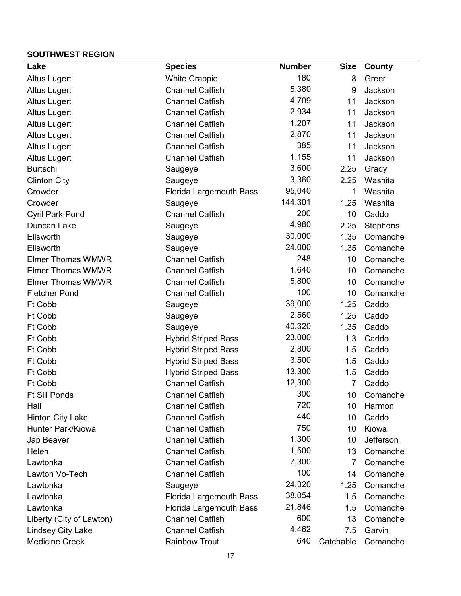### **SOUTHWEST REGION**

| ,,,,,,,,,,,,,,,,,        |                                |               |                |             |
|--------------------------|--------------------------------|---------------|----------------|-------------|
| Lake                     | <b>Species</b>                 | <b>Number</b> | <b>Size</b>    | County      |
| <b>Altus Lugert</b>      | <b>White Crappie</b>           | 180           | 8              | Greer       |
| <b>Altus Lugert</b>      | <b>Channel Catfish</b>         | 5,380         | 9              | Jackson     |
| <b>Altus Lugert</b>      | <b>Channel Catfish</b>         | 4,709         | 11             | Jackson     |
| <b>Altus Lugert</b>      | <b>Channel Catfish</b>         | 2,934         | 11             | Jackson     |
| <b>Altus Lugert</b>      | <b>Channel Catfish</b>         | 1,207         | 11             | Jackson     |
| <b>Altus Lugert</b>      | <b>Channel Catfish</b>         | 2,870         | 11             | Jackson     |
| <b>Altus Lugert</b>      | <b>Channel Catfish</b>         | 385           | 11             | Jackson     |
| <b>Altus Lugert</b>      | <b>Channel Catfish</b>         | 1,155         | 11             | Jackson     |
| <b>Burtschi</b>          | Saugeye                        | 3,600         | 2.25           | Grady       |
| <b>Clinton City</b>      | Saugeye                        | 3,360         | 2.25           | Washita     |
| Crowder                  | <b>Florida Largemouth Bass</b> | 95,040        | 1              | Washita     |
| Crowder                  | Saugeye                        | 144,301       | 1.25           | Washita     |
| <b>Cyril Park Pond</b>   | <b>Channel Catfish</b>         | 200           | 10             | Caddo       |
| Duncan Lake              | Saugeye                        | 4,980         | 2.25           | Stephens    |
| Ellsworth                | Saugeye                        | 30,000        | 1.35           | Comanche    |
| Ellsworth                | Saugeye                        | 24,000        | 1.35           | Comanche    |
| <b>Elmer Thomas WMWR</b> | <b>Channel Catfish</b>         | 248           | 10             | Comanche    |
| <b>Elmer Thomas WMWR</b> | <b>Channel Catfish</b>         | 1,640         | 10             | Comanche    |
| <b>Elmer Thomas WMWR</b> | <b>Channel Catfish</b>         | 5,800         | 10             | Comanche    |
| <b>Fletcher Pond</b>     | <b>Channel Catfish</b>         | 100           | 10             | Comanche    |
| Ft Cobb                  | Saugeye                        | 39,000        | 1.25           | Caddo       |
| Ft Cobb                  | Saugeye                        | 2,560         | 1.25           | Caddo       |
| Ft Cobb                  | Saugeye                        | 40,320        | 1.35           | Caddo       |
| Ft Cobb                  | <b>Hybrid Striped Bass</b>     | 23,000        | 1.3            | Caddo       |
| Ft Cobb                  | <b>Hybrid Striped Bass</b>     | 2,800         | 1.5            | Caddo       |
| Ft Cobb                  | <b>Hybrid Striped Bass</b>     | 3,500         | 1.5            | Caddo       |
| Ft Cobb                  | <b>Hybrid Striped Bass</b>     | 13,300        | 1.5            | Caddo       |
| Ft Cobb                  | <b>Channel Catfish</b>         | 12,300        | $\overline{7}$ | Caddo       |
| <b>Ft Sill Ponds</b>     | <b>Channel Catfish</b>         | 300           |                | 10 Comanche |
| Hall                     | <b>Channel Catfish</b>         | 720           | 10             | Harmon      |
| <b>Hinton City Lake</b>  | <b>Channel Catfish</b>         | 440           | 10             | Caddo       |
| Hunter Park/Kiowa        | <b>Channel Catfish</b>         | 750           | 10             | Kiowa       |
| Jap Beaver               | <b>Channel Catfish</b>         | 1,300         | 10             | Jefferson   |
| Helen                    | <b>Channel Catfish</b>         | 1,500         | 13             | Comanche    |
| Lawtonka                 | <b>Channel Catfish</b>         | 7,300         | 7              | Comanche    |
| Lawton Vo-Tech           | <b>Channel Catfish</b>         | 100           | 14             | Comanche    |
| Lawtonka                 | Saugeye                        | 24,320        | 1.25           | Comanche    |
| Lawtonka                 | <b>Florida Largemouth Bass</b> | 38,054        | 1.5            | Comanche    |
| Lawtonka                 | Florida Largemouth Bass        | 21,846        | 1.5            | Comanche    |
| Liberty (City of Lawton) | <b>Channel Catfish</b>         | 600           | 13             | Comanche    |
| <b>Lindsey City Lake</b> | <b>Channel Catfish</b>         | 4,462         | 7.5            | Garvin      |
| <b>Medicine Creek</b>    | <b>Rainbow Trout</b>           | 640           | Catchable      | Comanche    |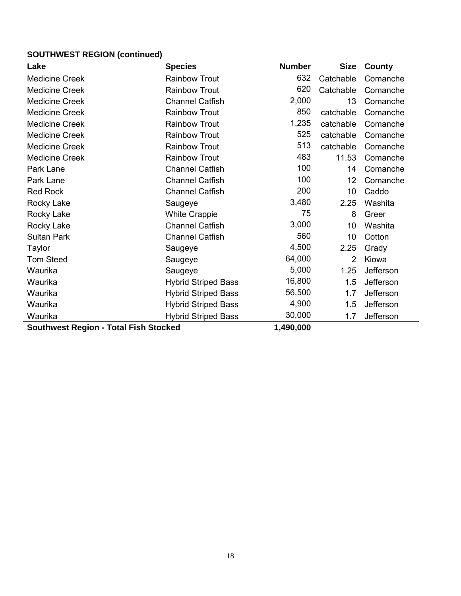# **SOUTHWEST REGION (continued)**

| Lake                                         | <b>Species</b>             | <b>Number</b> | <b>Size</b>    | County    |
|----------------------------------------------|----------------------------|---------------|----------------|-----------|
| <b>Medicine Creek</b>                        | <b>Rainbow Trout</b>       | 632           | Catchable      | Comanche  |
| <b>Medicine Creek</b>                        | <b>Rainbow Trout</b>       | 620           | Catchable      | Comanche  |
| <b>Medicine Creek</b>                        | <b>Channel Catfish</b>     | 2,000         | 13             | Comanche  |
| <b>Medicine Creek</b>                        | <b>Rainbow Trout</b>       | 850           | catchable      | Comanche  |
| <b>Medicine Creek</b>                        | <b>Rainbow Trout</b>       | 1,235         | catchable      | Comanche  |
| <b>Medicine Creek</b>                        | <b>Rainbow Trout</b>       | 525           | catchable      | Comanche  |
| <b>Medicine Creek</b>                        | <b>Rainbow Trout</b>       | 513           | catchable      | Comanche  |
| <b>Medicine Creek</b>                        | <b>Rainbow Trout</b>       | 483           | 11.53          | Comanche  |
| Park Lane                                    | <b>Channel Catfish</b>     | 100           | 14             | Comanche  |
| Park Lane                                    | <b>Channel Catfish</b>     | 100           | 12             | Comanche  |
| <b>Red Rock</b>                              | <b>Channel Catfish</b>     | 200           | 10             | Caddo     |
| Rocky Lake                                   | Saugeye                    | 3,480         | 2.25           | Washita   |
| <b>Rocky Lake</b>                            | <b>White Crappie</b>       | 75            | 8              | Greer     |
| Rocky Lake                                   | <b>Channel Catfish</b>     | 3,000         | 10             | Washita   |
| <b>Sultan Park</b>                           | <b>Channel Catfish</b>     | 560           | 10             | Cotton    |
| Taylor                                       | Saugeye                    | 4,500         | 2.25           | Grady     |
| <b>Tom Steed</b>                             | Saugeye                    | 64,000        | $\overline{2}$ | Kiowa     |
| Waurika                                      | Saugeye                    | 5,000         | 1.25           | Jefferson |
| Waurika                                      | <b>Hybrid Striped Bass</b> | 16,800        | 1.5            | Jefferson |
| Waurika                                      | <b>Hybrid Striped Bass</b> | 56,500        | 1.7            | Jefferson |
| Waurika                                      | <b>Hybrid Striped Bass</b> | 4,900         | 1.5            | Jefferson |
| Waurika                                      | <b>Hybrid Striped Bass</b> | 30,000        | 1.7            | Jefferson |
| <b>Southwest Region - Total Fish Stocked</b> |                            | 1,490,000     |                |           |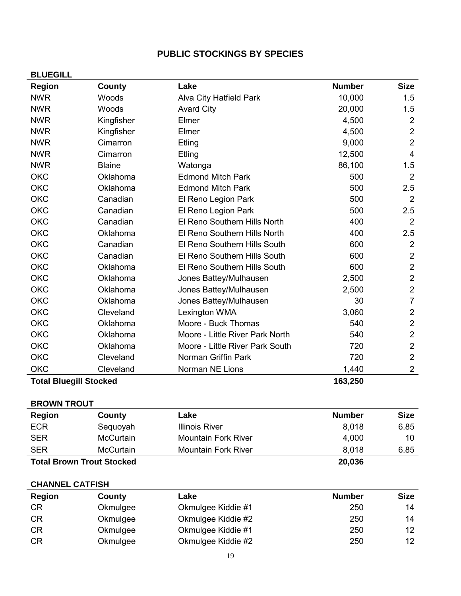# **PUBLIC STOCKINGS BY SPECIES**

| <b>BLUEGILL</b>                          |               |                                 |               |                |
|------------------------------------------|---------------|---------------------------------|---------------|----------------|
| <b>Region</b>                            | County        | Lake                            | <b>Number</b> | <b>Size</b>    |
| <b>NWR</b>                               | Woods         | Alva City Hatfield Park         | 10,000        | 1.5            |
| <b>NWR</b>                               | Woods         | <b>Avard City</b>               | 20,000        | 1.5            |
| <b>NWR</b>                               | Kingfisher    | Elmer                           | 4,500         | $\overline{2}$ |
| <b>NWR</b>                               | Kingfisher    | Elmer                           | 4,500         | $\overline{2}$ |
| <b>NWR</b>                               | Cimarron      | Etling                          | 9,000         | $\overline{2}$ |
| <b>NWR</b>                               | Cimarron      | Etling                          | 12,500        | $\overline{4}$ |
| <b>NWR</b>                               | <b>Blaine</b> | Watonga                         | 86,100        | 1.5            |
| <b>OKC</b>                               | Oklahoma      | <b>Edmond Mitch Park</b>        | 500           | $\overline{2}$ |
| <b>OKC</b>                               | Oklahoma      | <b>Edmond Mitch Park</b>        | 500           | 2.5            |
| <b>OKC</b>                               | Canadian      | El Reno Legion Park             | 500           | $\overline{2}$ |
| <b>OKC</b>                               | Canadian      | El Reno Legion Park             | 500           | 2.5            |
| <b>OKC</b>                               | Canadian      | El Reno Southern Hills North    | 400           | $\overline{2}$ |
| <b>OKC</b>                               | Oklahoma      | El Reno Southern Hills North    | 400           | 2.5            |
| <b>OKC</b>                               | Canadian      | El Reno Southern Hills South    | 600           | $\overline{2}$ |
| <b>OKC</b>                               | Canadian      | El Reno Southern Hills South    | 600           | $\overline{2}$ |
| <b>OKC</b>                               | Oklahoma      | El Reno Southern Hills South    | 600           | $\overline{2}$ |
| <b>OKC</b>                               | Oklahoma      | Jones Battey/Mulhausen          | 2,500         | $\overline{2}$ |
| <b>OKC</b>                               | Oklahoma      | Jones Battey/Mulhausen          | 2,500         | $\overline{2}$ |
| <b>OKC</b>                               | Oklahoma      | Jones Battey/Mulhausen          | 30            | $\overline{7}$ |
| <b>OKC</b>                               | Cleveland     | Lexington WMA                   | 3,060         | $\overline{2}$ |
| <b>OKC</b>                               | Oklahoma      | Moore - Buck Thomas             | 540           | $\overline{2}$ |
| <b>OKC</b>                               | Oklahoma      | Moore - Little River Park North | 540           | $\overline{2}$ |
| <b>OKC</b>                               | Oklahoma      | Moore - Little River Park South | 720           | $\overline{2}$ |
| <b>OKC</b>                               | Cleveland     | Norman Griffin Park             | 720           | $\overline{2}$ |
| <b>OKC</b>                               | Cleveland     | Norman NE Lions                 | 1,440         | $\overline{2}$ |
| <b>Total Bluegill Stocked</b><br>163,250 |               |                                 |               |                |

| <b>BROWN TROUT</b>               |                  |                            |               |             |
|----------------------------------|------------------|----------------------------|---------------|-------------|
| <b>Region</b>                    | County           | Lake                       | <b>Number</b> | <b>Size</b> |
| <b>ECR</b>                       | Sequoyah         | Illinois River             | 8,018         | 6.85        |
| <b>SER</b>                       | <b>McCurtain</b> | <b>Mountain Fork River</b> | 4,000         | 10          |
| <b>SER</b>                       | <b>McCurtain</b> | <b>Mountain Fork River</b> | 8.018         | 6.85        |
| <b>Total Brown Trout Stocked</b> |                  |                            | 20,036        |             |

### **CHANNEL CATFISH**

| Region    | County   | Lake               | <b>Number</b> | <b>Size</b> |
|-----------|----------|--------------------|---------------|-------------|
| CR        | Okmulgee | Okmulgee Kiddie #1 | 250           | 14          |
| <b>CR</b> | Okmulgee | Okmulgee Kiddie #2 | 250           | 14          |
| <b>CR</b> | Okmulgee | Okmulgee Kiddie #1 | 250           | 12          |
| <b>CR</b> | Okmulgee | Okmulgee Kiddie #2 | 250           | 12          |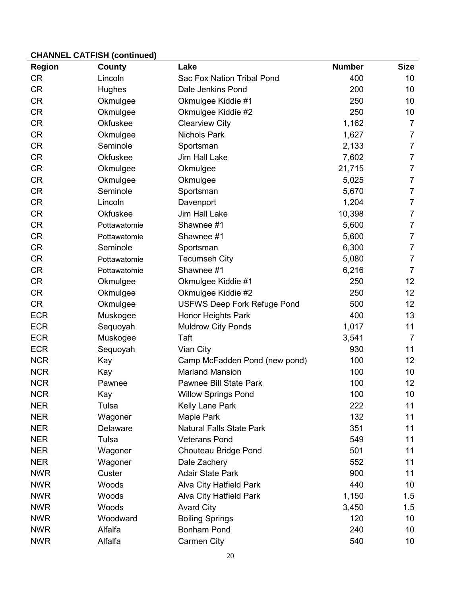| <b>Region</b> | County          | Lake                               | <b>Number</b> | <b>Size</b>     |
|---------------|-----------------|------------------------------------|---------------|-----------------|
| <b>CR</b>     | Lincoln         | Sac Fox Nation Tribal Pond         | 400           | 10              |
| <b>CR</b>     | <b>Hughes</b>   | Dale Jenkins Pond                  | 200           | 10              |
| <b>CR</b>     | Okmulgee        | Okmulgee Kiddie #1                 | 250           | 10              |
| <b>CR</b>     | Okmulgee        | Okmulgee Kiddie #2                 | 250           | 10              |
| <b>CR</b>     | <b>Okfuskee</b> | <b>Clearview City</b>              | 1,162         | $\overline{7}$  |
| <b>CR</b>     | Okmulgee        | <b>Nichols Park</b>                | 1,627         | $\overline{7}$  |
| <b>CR</b>     | Seminole        | Sportsman                          | 2,133         | $\overline{7}$  |
| <b>CR</b>     | Okfuskee        | Jim Hall Lake                      | 7,602         | $\overline{7}$  |
| <b>CR</b>     | Okmulgee        | Okmulgee                           | 21,715        | $\overline{7}$  |
| <b>CR</b>     | Okmulgee        | Okmulgee                           | 5,025         | $\overline{7}$  |
| <b>CR</b>     | Seminole        | Sportsman                          | 5,670         | $\overline{7}$  |
| <b>CR</b>     | Lincoln         | Davenport                          | 1,204         | $\overline{7}$  |
| <b>CR</b>     | <b>Okfuskee</b> | Jim Hall Lake                      | 10,398        | $\overline{7}$  |
| <b>CR</b>     | Pottawatomie    | Shawnee #1                         | 5,600         | $\overline{7}$  |
| <b>CR</b>     | Pottawatomie    | Shawnee #1                         | 5,600         | $\overline{7}$  |
| <b>CR</b>     | Seminole        | Sportsman                          | 6,300         | $\overline{7}$  |
| <b>CR</b>     | Pottawatomie    | <b>Tecumseh City</b>               | 5,080         | $\overline{7}$  |
| <b>CR</b>     | Pottawatomie    | Shawnee #1                         | 6,216         | $\overline{7}$  |
| <b>CR</b>     | Okmulgee        | Okmulgee Kiddie #1                 | 250           | 12 <sub>2</sub> |
| <b>CR</b>     | Okmulgee        | Okmulgee Kiddie #2                 | 250           | 12 <sub>2</sub> |
| <b>CR</b>     | Okmulgee        | <b>USFWS Deep Fork Refuge Pond</b> | 500           | 12              |
| <b>ECR</b>    | Muskogee        | <b>Honor Heights Park</b>          | 400           | 13              |
| <b>ECR</b>    | Sequoyah        | <b>Muldrow City Ponds</b>          | 1,017         | 11              |
| <b>ECR</b>    | Muskogee        | Taft                               | 3,541         | $\overline{7}$  |
| <b>ECR</b>    | Sequoyah        | Vian City                          | 930           | 11              |
| <b>NCR</b>    | Kay             | Camp McFadden Pond (new pond)      | 100           | 12              |
| <b>NCR</b>    | Kay             | <b>Marland Mansion</b>             | 100           | 10              |
| <b>NCR</b>    | Pawnee          | Pawnee Bill State Park             | 100           | 12              |
| <b>NCR</b>    | Kay             | <b>Willow Springs Pond</b>         | 100           | 10              |
| <b>NER</b>    | Tulsa           | Kelly Lane Park                    | 222           | 11              |
| <b>NER</b>    | Wagoner         | Maple Park                         | 132           | 11              |
| <b>NER</b>    | Delaware        | <b>Natural Falls State Park</b>    | 351           | 11              |
| <b>NER</b>    | Tulsa           | <b>Veterans Pond</b>               | 549           | 11              |
| <b>NER</b>    | Wagoner         | Chouteau Bridge Pond               | 501           | 11              |
| <b>NER</b>    | Wagoner         | Dale Zachery                       | 552           | 11              |
| <b>NWR</b>    | Custer          | <b>Adair State Park</b>            | 900           | 11              |
| <b>NWR</b>    | Woods           | Alva City Hatfield Park            | 440           | 10              |
| <b>NWR</b>    | Woods           | Alva City Hatfield Park            | 1,150         | 1.5             |
| <b>NWR</b>    | Woods           | <b>Avard City</b>                  | 3,450         | 1.5             |
| <b>NWR</b>    | Woodward        | <b>Boiling Springs</b>             | 120           | 10              |
| <b>NWR</b>    | Alfalfa         | <b>Bonham Pond</b>                 | 240           | 10              |
| <b>NWR</b>    | Alfalfa         | Carmen City                        | 540           | 10              |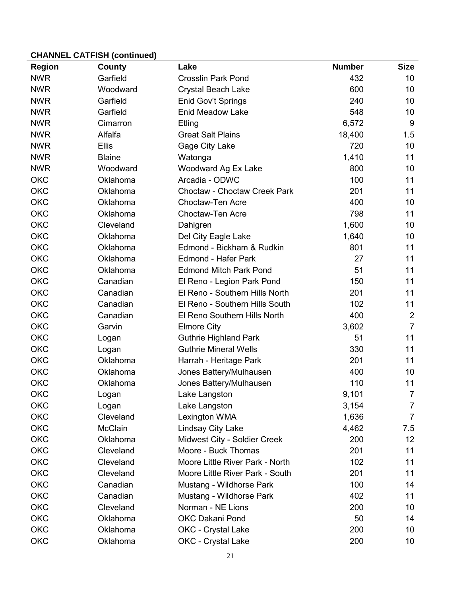| <b>Region</b> | County         | Lake                            | <b>Number</b> | <b>Size</b>    |
|---------------|----------------|---------------------------------|---------------|----------------|
| <b>NWR</b>    | Garfield       | <b>Crosslin Park Pond</b>       | 432           | 10             |
| <b>NWR</b>    | Woodward       | <b>Crystal Beach Lake</b>       | 600           | 10             |
| <b>NWR</b>    | Garfield       | Enid Gov't Springs              | 240           | 10             |
| <b>NWR</b>    | Garfield       | <b>Enid Meadow Lake</b>         | 548           | 10             |
| <b>NWR</b>    | Cimarron       | Etling                          | 6,572         | $9\,$          |
| <b>NWR</b>    | Alfalfa        | <b>Great Salt Plains</b>        | 18,400        | 1.5            |
| <b>NWR</b>    | <b>Ellis</b>   | Gage City Lake                  | 720           | 10             |
| <b>NWR</b>    | <b>Blaine</b>  | Watonga                         | 1,410         | 11             |
| <b>NWR</b>    | Woodward       | Woodward Ag Ex Lake             | 800           | 10             |
| <b>OKC</b>    | Oklahoma       | Arcadia - ODWC                  | 100           | 11             |
| <b>OKC</b>    | Oklahoma       | Choctaw - Choctaw Creek Park    | 201           | 11             |
| <b>OKC</b>    | Oklahoma       | <b>Choctaw-Ten Acre</b>         | 400           | 10             |
| <b>OKC</b>    | Oklahoma       | <b>Choctaw-Ten Acre</b>         | 798           | 11             |
| <b>OKC</b>    | Cleveland      | Dahlgren                        | 1,600         | 10             |
| <b>OKC</b>    | Oklahoma       | Del City Eagle Lake             | 1,640         | 10             |
| <b>OKC</b>    | Oklahoma       | Edmond - Bickham & Rudkin       | 801           | 11             |
| <b>OKC</b>    | Oklahoma       | <b>Edmond - Hafer Park</b>      | 27            | 11             |
| <b>OKC</b>    | Oklahoma       | <b>Edmond Mitch Park Pond</b>   | 51            | 11             |
| <b>OKC</b>    | Canadian       | El Reno - Legion Park Pond      | 150           | 11             |
| OKC           | Canadian       | El Reno - Southern Hills North  | 201           | 11             |
| <b>OKC</b>    | Canadian       | El Reno - Southern Hills South  | 102           | 11             |
| OKC           | Canadian       | El Reno Southern Hills North    | 400           | $\overline{2}$ |
| OKC           | Garvin         | <b>Elmore City</b>              | 3,602         | $\overline{7}$ |
| OKC           | Logan          | <b>Guthrie Highland Park</b>    | 51            | 11             |
| OKC           | Logan          | <b>Guthrie Mineral Wells</b>    | 330           | 11             |
| OKC           | Oklahoma       | Harrah - Heritage Park          | 201           | 11             |
| OKC           | Oklahoma       | Jones Battery/Mulhausen         | 400           | 10             |
| <b>OKC</b>    | Oklahoma       | Jones Battery/Mulhausen         | 110           | 11             |
| <b>OKC</b>    | Logan          | Lake Langston                   | 9,101         | 7              |
| <b>OKC</b>    | Logan          | Lake Langston                   | 3,154         | $\overline{7}$ |
| OKC           | Cleveland      | Lexington WMA                   | 1,636         | $\overline{7}$ |
| OKC           | <b>McClain</b> | Lindsay City Lake               | 4,462         | 7.5            |
| OKC           | Oklahoma       | Midwest City - Soldier Creek    | 200           | 12             |
| <b>OKC</b>    | Cleveland      | Moore - Buck Thomas             | 201           | 11             |
| OKC           | Cleveland      | Moore Little River Park - North | 102           | 11             |
| OKC           | Cleveland      | Moore Little River Park - South | 201           | 11             |
| OKC           | Canadian       | Mustang - Wildhorse Park        | 100           | 14             |
| <b>OKC</b>    | Canadian       | Mustang - Wildhorse Park        | 402           | 11             |
| OKC           | Cleveland      | Norman - NE Lions               | 200           | 10             |
| OKC           | Oklahoma       | <b>OKC Dakani Pond</b>          | 50            | 14             |
| OKC           | Oklahoma       | <b>OKC</b> - Crystal Lake       | 200           | 10             |
| OKC           | Oklahoma       | <b>OKC</b> - Crystal Lake       | 200           | 10             |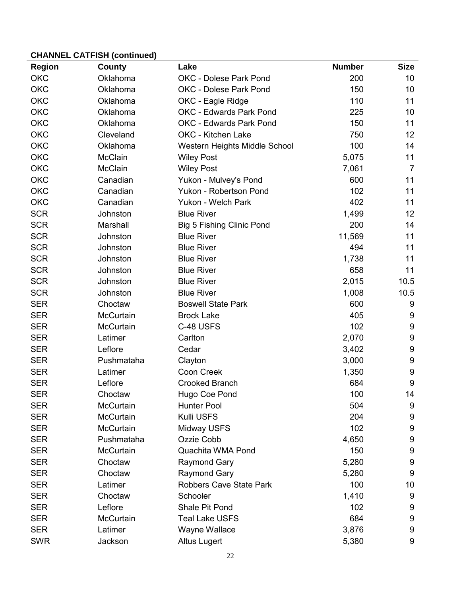| <b>Region</b> | County           | Lake                             | <b>Number</b> | <b>Size</b>      |
|---------------|------------------|----------------------------------|---------------|------------------|
| <b>OKC</b>    | Oklahoma         | OKC - Dolese Park Pond           | 200           | 10               |
| <b>OKC</b>    | Oklahoma         | <b>OKC - Dolese Park Pond</b>    | 150           | 10               |
| <b>OKC</b>    | Oklahoma         | OKC - Eagle Ridge                | 110           | 11               |
| <b>OKC</b>    | Oklahoma         | <b>OKC - Edwards Park Pond</b>   | 225           | 10               |
| <b>OKC</b>    | Oklahoma         | OKC - Edwards Park Pond          | 150           | 11               |
| OKC           | Cleveland        | OKC - Kitchen Lake               | 750           | 12               |
| <b>OKC</b>    | Oklahoma         | Western Heights Middle School    | 100           | 14               |
| <b>OKC</b>    | <b>McClain</b>   | <b>Wiley Post</b>                | 5,075         | 11               |
| <b>OKC</b>    | <b>McClain</b>   | <b>Wiley Post</b>                | 7,061         | $\overline{7}$   |
| <b>OKC</b>    | Canadian         | Yukon - Mulvey's Pond            | 600           | 11               |
| <b>OKC</b>    | Canadian         | Yukon - Robertson Pond           | 102           | 11               |
| <b>OKC</b>    | Canadian         | Yukon - Welch Park               | 402           | 11               |
| <b>SCR</b>    | Johnston         | <b>Blue River</b>                | 1,499         | 12               |
| <b>SCR</b>    | Marshall         | <b>Big 5 Fishing Clinic Pond</b> | 200           | 14               |
| <b>SCR</b>    | Johnston         | <b>Blue River</b>                | 11,569        | 11               |
| <b>SCR</b>    | Johnston         | <b>Blue River</b>                | 494           | 11               |
| <b>SCR</b>    | Johnston         | <b>Blue River</b>                | 1,738         | 11               |
| <b>SCR</b>    | Johnston         | <b>Blue River</b>                | 658           | 11               |
| <b>SCR</b>    | Johnston         | <b>Blue River</b>                | 2,015         | 10.5             |
| <b>SCR</b>    | Johnston         | <b>Blue River</b>                | 1,008         | 10.5             |
| <b>SER</b>    | Choctaw          | <b>Boswell State Park</b>        | 600           | 9                |
| <b>SER</b>    | <b>McCurtain</b> | <b>Brock Lake</b>                | 405           | 9                |
| <b>SER</b>    | <b>McCurtain</b> | C-48 USFS                        | 102           | 9                |
| <b>SER</b>    | Latimer          | Carlton                          | 2,070         | 9                |
| <b>SER</b>    | Leflore          | Cedar                            | 3,402         | 9                |
| <b>SER</b>    | Pushmataha       | Clayton                          | 3,000         | 9                |
| <b>SER</b>    | Latimer          | <b>Coon Creek</b>                | 1,350         | 9                |
| <b>SER</b>    | Leflore          | <b>Crooked Branch</b>            | 684           | $\boldsymbol{9}$ |
| <b>SER</b>    | Choctaw          | Hugo Coe Pond                    | 100           | 14               |
| <b>SER</b>    | McCurtain        | Hunter Pool                      | 504           | 9                |
| <b>SER</b>    | McCurtain        | Kulli USFS                       | 204           | 9                |
| <b>SER</b>    | <b>McCurtain</b> | Midway USFS                      | 102           | 9                |
| <b>SER</b>    | Pushmataha       | Ozzie Cobb                       | 4,650         | 9                |
| <b>SER</b>    | McCurtain        | Quachita WMA Pond                | 150           | 9                |
| <b>SER</b>    | Choctaw          | <b>Raymond Gary</b>              | 5,280         | 9                |
| <b>SER</b>    | Choctaw          | Raymond Gary                     | 5,280         | 9                |
| <b>SER</b>    | Latimer          | <b>Robbers Cave State Park</b>   | 100           | 10               |
| <b>SER</b>    | Choctaw          | Schooler                         | 1,410         | 9                |
| <b>SER</b>    | Leflore          | Shale Pit Pond                   | 102           | 9                |
| <b>SER</b>    | McCurtain        | <b>Teal Lake USFS</b>            | 684           | 9                |
| <b>SER</b>    | Latimer          | Wayne Wallace                    | 3,876         | 9                |
| <b>SWR</b>    | Jackson          | <b>Altus Lugert</b>              | 5,380         | 9                |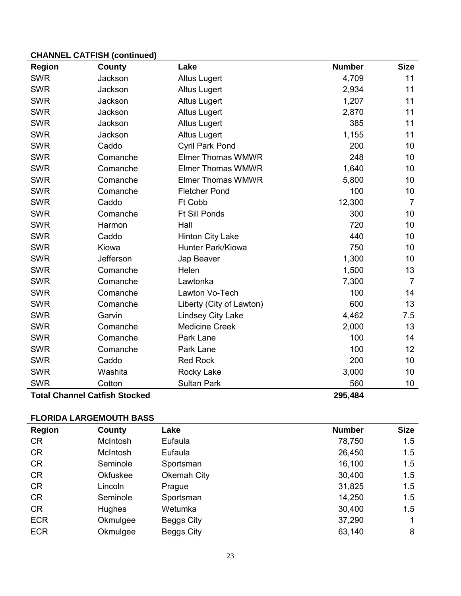| <b>Region</b>                        | County    | Lake                     | <b>Number</b> | <b>Size</b>    |
|--------------------------------------|-----------|--------------------------|---------------|----------------|
| <b>SWR</b>                           | Jackson   | <b>Altus Lugert</b>      | 4,709         | 11             |
| <b>SWR</b>                           | Jackson   | <b>Altus Lugert</b>      | 2,934         | 11             |
| <b>SWR</b>                           | Jackson   | <b>Altus Lugert</b>      | 1,207         | 11             |
| <b>SWR</b>                           | Jackson   | <b>Altus Lugert</b>      | 2,870         | 11             |
| <b>SWR</b>                           | Jackson   | <b>Altus Lugert</b>      | 385           | 11             |
| <b>SWR</b>                           | Jackson   | <b>Altus Lugert</b>      | 1,155         | 11             |
| <b>SWR</b>                           | Caddo     | <b>Cyril Park Pond</b>   | 200           | 10             |
| <b>SWR</b>                           | Comanche  | <b>Elmer Thomas WMWR</b> | 248           | 10             |
| <b>SWR</b>                           | Comanche  | <b>Elmer Thomas WMWR</b> | 1,640         | 10             |
| <b>SWR</b>                           | Comanche  | <b>Elmer Thomas WMWR</b> | 5,800         | 10             |
| <b>SWR</b>                           | Comanche  | <b>Fletcher Pond</b>     | 100           | 10             |
| <b>SWR</b>                           | Caddo     | Ft Cobb                  | 12,300        | $\overline{7}$ |
| <b>SWR</b>                           | Comanche  | <b>Ft Sill Ponds</b>     | 300           | 10             |
| <b>SWR</b>                           | Harmon    | Hall                     | 720           | 10             |
| <b>SWR</b>                           | Caddo     | <b>Hinton City Lake</b>  | 440           | 10             |
| <b>SWR</b>                           | Kiowa     | <b>Hunter Park/Kiowa</b> | 750           | 10             |
| <b>SWR</b>                           | Jefferson | Jap Beaver               | 1,300         | 10             |
| <b>SWR</b>                           | Comanche  | Helen                    | 1,500         | 13             |
| <b>SWR</b>                           | Comanche  | Lawtonka                 | 7,300         | $\overline{7}$ |
| <b>SWR</b>                           | Comanche  | Lawton Vo-Tech           | 100           | 14             |
| <b>SWR</b>                           | Comanche  | Liberty (City of Lawton) | 600           | 13             |
| <b>SWR</b>                           | Garvin    | <b>Lindsey City Lake</b> | 4,462         | 7.5            |
| <b>SWR</b>                           | Comanche  | <b>Medicine Creek</b>    | 2,000         | 13             |
| <b>SWR</b>                           | Comanche  | Park Lane                | 100           | 14             |
| <b>SWR</b>                           | Comanche  | Park Lane                | 100           | 12             |
| <b>SWR</b>                           | Caddo     | <b>Red Rock</b>          | 200           | 10             |
| <b>SWR</b>                           | Washita   | Rocky Lake               | 3,000         | 10             |
| <b>SWR</b>                           | Cotton    | <b>Sultan Park</b>       | 560           | 10             |
| <b>Total Channel Catfish Stocked</b> |           |                          | 295,484       |                |

### **FLORIDA LARGEMOUTH BASS**

| <b>Region</b> | County          | Lake              | <b>Number</b> | <b>Size</b> |
|---------------|-----------------|-------------------|---------------|-------------|
| <b>CR</b>     | McIntosh        | Eufaula           | 78,750        | 1.5         |
| <b>CR</b>     | McIntosh        | Eufaula           | 26,450        | 1.5         |
| <b>CR</b>     | Seminole        | Sportsman         | 16,100        | 1.5         |
| <b>CR</b>     | <b>Okfuskee</b> | Okemah City       | 30,400        | 1.5         |
| <b>CR</b>     | Lincoln         | Prague            | 31,825        | 1.5         |
| <b>CR</b>     | Seminole        | Sportsman         | 14,250        | 1.5         |
| <b>CR</b>     | <b>Hughes</b>   | Wetumka           | 30,400        | 1.5         |
| <b>ECR</b>    | Okmulgee        | Beggs City        | 37,290        |             |
| <b>ECR</b>    | Okmulgee        | <b>Beggs City</b> | 63,140        | 8           |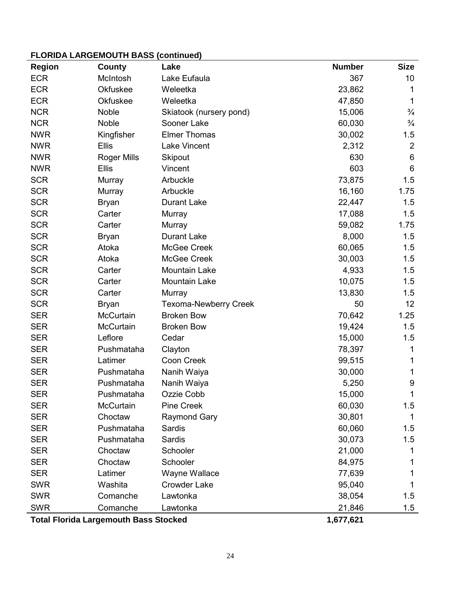### **FLORIDA LARGEMOUTH BASS (continued)**

| <b>Region</b>                                | County             | Lake                    | <b>Number</b> | <b>Size</b>      |
|----------------------------------------------|--------------------|-------------------------|---------------|------------------|
| <b>ECR</b>                                   | McIntosh           | Lake Eufaula            | 367           | 10               |
| <b>ECR</b>                                   | Okfuskee           | Weleetka                | 23,862        | 1                |
| <b>ECR</b>                                   | Okfuskee           | Weleetka                | 47,850        | $\mathbf 1$      |
| <b>NCR</b>                                   | Noble              | Skiatook (nursery pond) | 15,006        | $\frac{3}{4}$    |
| <b>NCR</b>                                   | Noble              | Sooner Lake             | 60,030        | $\frac{3}{4}$    |
| <b>NWR</b>                                   | Kingfisher         | <b>Elmer Thomas</b>     | 30,002        | 1.5              |
| <b>NWR</b>                                   | Ellis              | <b>Lake Vincent</b>     | 2,312         | $\overline{2}$   |
| <b>NWR</b>                                   | <b>Roger Mills</b> | Skipout                 | 630           | 6                |
| <b>NWR</b>                                   | <b>Ellis</b>       | Vincent                 | 603           | 6                |
| <b>SCR</b>                                   | Murray             | Arbuckle                | 73,875        | 1.5              |
| <b>SCR</b>                                   | Murray             | Arbuckle                | 16,160        | 1.75             |
| <b>SCR</b>                                   | <b>Bryan</b>       | <b>Durant Lake</b>      | 22,447        | 1.5              |
| <b>SCR</b>                                   | Carter             | Murray                  | 17,088        | 1.5              |
| <b>SCR</b>                                   | Carter             | Murray                  | 59,082        | 1.75             |
| <b>SCR</b>                                   | <b>Bryan</b>       | <b>Durant Lake</b>      | 8,000         | 1.5              |
| <b>SCR</b>                                   | Atoka              | McGee Creek             | 60,065        | 1.5              |
| <b>SCR</b>                                   | Atoka              | McGee Creek             | 30,003        | 1.5              |
| <b>SCR</b>                                   | Carter             | <b>Mountain Lake</b>    | 4,933         | 1.5              |
| <b>SCR</b>                                   | Carter             | Mountain Lake           | 10,075        | 1.5              |
| <b>SCR</b>                                   | Carter             | Murray                  | 13,830        | 1.5              |
| <b>SCR</b>                                   | Bryan              | Texoma-Newberry Creek   | 50            | 12               |
| <b>SER</b>                                   | McCurtain          | <b>Broken Bow</b>       | 70,642        | 1.25             |
| <b>SER</b>                                   | <b>McCurtain</b>   | <b>Broken Bow</b>       | 19,424        | 1.5              |
| <b>SER</b>                                   | Leflore            | Cedar                   | 15,000        | 1.5              |
| <b>SER</b>                                   | Pushmataha         | Clayton                 | 78,397        | 1                |
| <b>SER</b>                                   | Latimer            | <b>Coon Creek</b>       | 99,515        | 1                |
| <b>SER</b>                                   | Pushmataha         | Nanih Waiya             | 30,000        | 1                |
| <b>SER</b>                                   | Pushmataha         | Nanih Waiya             | 5,250         | $\boldsymbol{9}$ |
| <b>SER</b>                                   | Pushmataha         | Ozzie Cobb              | 15,000        | 1                |
| <b>SER</b>                                   | McCurtain          | <b>Pine Creek</b>       | 60,030        | 1.5              |
| <b>SER</b>                                   | Choctaw            | <b>Raymond Gary</b>     | 30,801        | 1                |
| <b>SER</b>                                   | Pushmataha         | <b>Sardis</b>           | 60,060        | 1.5              |
| <b>SER</b>                                   | Pushmataha         | Sardis                  | 30,073        | 1.5              |
| <b>SER</b>                                   | Choctaw            | Schooler                | 21,000        | 1                |
| <b>SER</b>                                   | Choctaw            | Schooler                | 84,975        | 1                |
| <b>SER</b>                                   | Latimer            | Wayne Wallace           | 77,639        |                  |
| <b>SWR</b>                                   | Washita            | <b>Crowder Lake</b>     | 95,040        | 1                |
| <b>SWR</b>                                   | Comanche           | Lawtonka                | 38,054        | 1.5              |
| <b>SWR</b>                                   | Comanche           | Lawtonka                | 21,846        | 1.5              |
| <b>Total Florida Largemouth Bass Stocked</b> |                    |                         | 1,677,621     |                  |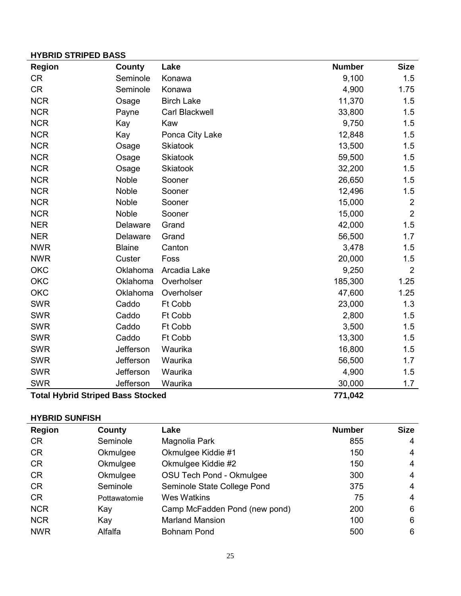# **HYBRID STRIPED BASS**

| <b>Region</b>                            | County        | Lake              | <b>Number</b> | <b>Size</b>    |
|------------------------------------------|---------------|-------------------|---------------|----------------|
| <b>CR</b>                                | Seminole      | Konawa            | 9,100         | 1.5            |
| <b>CR</b>                                | Seminole      | Konawa            | 4,900         | 1.75           |
| <b>NCR</b>                               | Osage         | <b>Birch Lake</b> | 11,370        | 1.5            |
| <b>NCR</b>                               | Payne         | Carl Blackwell    | 33,800        | 1.5            |
| <b>NCR</b>                               | Kay           | Kaw               | 9,750         | 1.5            |
| <b>NCR</b>                               | Kay           | Ponca City Lake   | 12,848        | 1.5            |
| <b>NCR</b>                               | Osage         | <b>Skiatook</b>   | 13,500        | 1.5            |
| <b>NCR</b>                               | Osage         | <b>Skiatook</b>   | 59,500        | 1.5            |
| <b>NCR</b>                               | Osage         | <b>Skiatook</b>   | 32,200        | 1.5            |
| <b>NCR</b>                               | Noble         | Sooner            | 26,650        | 1.5            |
| <b>NCR</b>                               | Noble         | Sooner            | 12,496        | 1.5            |
| <b>NCR</b>                               | Noble         | Sooner            | 15,000        | $\overline{2}$ |
| <b>NCR</b>                               | Noble         | Sooner            | 15,000        | $\overline{2}$ |
| <b>NER</b>                               | Delaware      | Grand             | 42,000        | 1.5            |
| <b>NER</b>                               | Delaware      | Grand             | 56,500        | 1.7            |
| <b>NWR</b>                               | <b>Blaine</b> | Canton            | 3,478         | 1.5            |
| <b>NWR</b>                               | Custer        | Foss              | 20,000        | 1.5            |
| <b>OKC</b>                               | Oklahoma      | Arcadia Lake      | 9,250         | $\overline{2}$ |
| <b>OKC</b>                               | Oklahoma      | Overholser        | 185,300       | 1.25           |
| <b>OKC</b>                               | Oklahoma      | Overholser        | 47,600        | 1.25           |
| <b>SWR</b>                               | Caddo         | Ft Cobb           | 23,000        | 1.3            |
| <b>SWR</b>                               | Caddo         | Ft Cobb           | 2,800         | 1.5            |
| <b>SWR</b>                               | Caddo         | Ft Cobb           | 3,500         | 1.5            |
| <b>SWR</b>                               | Caddo         | Ft Cobb           | 13,300        | 1.5            |
| <b>SWR</b>                               | Jefferson     | Waurika           | 16,800        | 1.5            |
| <b>SWR</b>                               | Jefferson     | Waurika           | 56,500        | 1.7            |
| <b>SWR</b>                               | Jefferson     | Waurika           | 4,900         | 1.5            |
| <b>SWR</b>                               | Jefferson     | Waurika           | 30,000        | 1.7            |
| <b>Total Hybrid Striped Bass Stocked</b> |               |                   | 771,042       |                |

### **HYBRID SUNFISH**

| <b>Region</b> | County       | Lake                          | <b>Number</b> | <b>Size</b> |
|---------------|--------------|-------------------------------|---------------|-------------|
| <b>CR</b>     | Seminole     | Magnolia Park                 | 855           | 4           |
| <b>CR</b>     | Okmulgee     | Okmulgee Kiddie #1            | 150           | 4           |
| <b>CR</b>     | Okmulgee     | Okmulgee Kiddie #2            | 150           | 4           |
| <b>CR</b>     | Okmulgee     | OSU Tech Pond - Okmulgee      | 300           | 4           |
| <b>CR</b>     | Seminole     | Seminole State College Pond   | 375           | 4           |
| <b>CR</b>     | Pottawatomie | <b>Wes Watkins</b>            | 75            | 4           |
| <b>NCR</b>    | Kay          | Camp McFadden Pond (new pond) | 200           | 6           |
| <b>NCR</b>    | Kay          | <b>Marland Mansion</b>        | 100           | 6           |
| <b>NWR</b>    | Alfalfa      | <b>Bohnam Pond</b>            | 500           | 6           |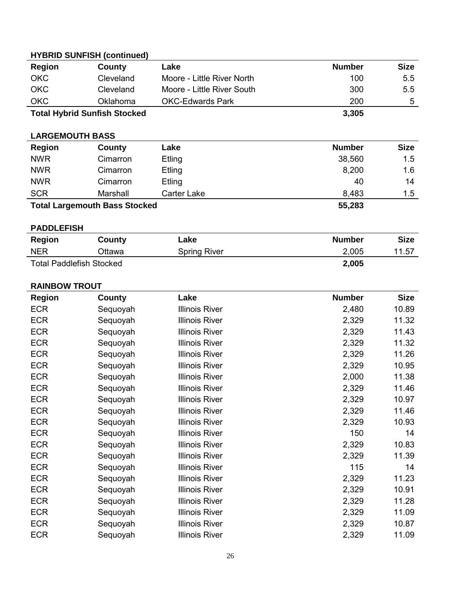| <b>Region</b>                   | County                               | Lake                       | <b>Number</b> | <b>Size</b> |
|---------------------------------|--------------------------------------|----------------------------|---------------|-------------|
| <b>OKC</b>                      | Cleveland                            | Moore - Little River North | 100           | 5.5         |
| <b>OKC</b>                      | Cleveland                            | Moore - Little River South | 300           | 5.5         |
| <b>OKC</b>                      | Oklahoma                             | <b>OKC-Edwards Park</b>    | 200           | 5           |
|                                 | <b>Total Hybrid Sunfish Stocked</b>  |                            | 3,305         |             |
| <b>LARGEMOUTH BASS</b>          |                                      |                            |               |             |
| <b>Region</b>                   | County                               | Lake                       | <b>Number</b> | <b>Size</b> |
| <b>NWR</b>                      | Cimarron                             | Etling                     | 38,560        | 1.5         |
| <b>NWR</b>                      | Cimarron                             | Etling                     | 8,200         | 1.6         |
| <b>NWR</b>                      | Cimarron                             | Etling                     | 40            | 14          |
| <b>SCR</b>                      | Marshall                             | <b>Carter Lake</b>         | 8,483         | 1.5         |
|                                 | <b>Total Largemouth Bass Stocked</b> |                            | 55,283        |             |
| <b>PADDLEFISH</b>               |                                      |                            |               |             |
| <b>Region</b>                   | <b>County</b>                        | Lake                       | <b>Number</b> | <b>Size</b> |
| <b>NER</b>                      | Ottawa                               | <b>Spring River</b>        | 2,005         | 11.57       |
| <b>Total Paddlefish Stocked</b> |                                      |                            | 2,005         |             |

**RAINBOW TROUT**

### **Region County Lake Number Size** ECR Sequoyah Illinois River 2,480 10.89 ECR Sequoyah Illinois River 2,329 11.32 ECR Sequoyah Illinois River 2,329 11.43 ECR Sequoyah Illinois River 2,329 11.32 ECR Sequoyah Illinois River 2,329 11.26 ECR Sequoyah Illinois River 2,329 10.95 ECR Sequoyah Illinois River 2,000 11.38 ECR Sequoyah Illinois River 2,329 11.46 ECR Sequoyah Illinois River 2,329 10.97 ECR Sequoyah Illinois River 2,329 11.46 ECR Sequoyah Illinois River 2,329 10.93 ECR Sequoyah Illinois River 150 14 ECR Sequoyah Illinois River 2,329 10.83 ECR Sequoyah Illinois River 2,329 11.39 ECR Sequoyah Illinois River 115 14 ECR Sequoyah Illinois River 2,329 11.23 ECR Sequoyah Illinois River 2,329 10.91 ECR Sequoyah Illinois River 2,329 11.28 ECR Sequoyah Illinois River 2,329 11.09 ECR Sequoyah Illinois River 2,329 10.87 ECR Sequoyah Illinois River 2,329 11.09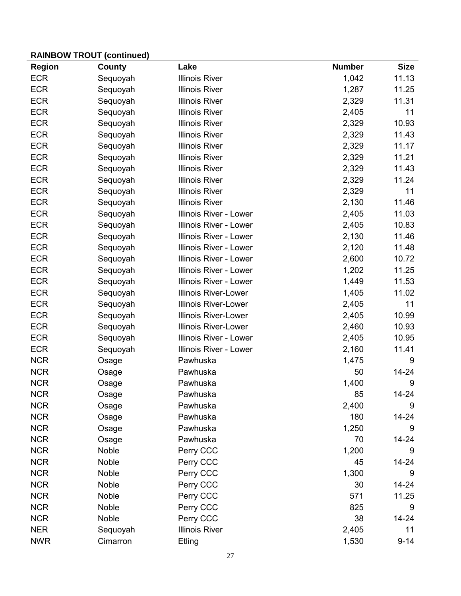| <b>Region</b> | <b>County</b> | Lake                          | <b>Number</b> | <b>Size</b> |
|---------------|---------------|-------------------------------|---------------|-------------|
| <b>ECR</b>    | Sequoyah      | <b>Illinois River</b>         | 1,042         | 11.13       |
| <b>ECR</b>    | Sequoyah      | <b>Illinois River</b>         | 1,287         | 11.25       |
| <b>ECR</b>    | Sequoyah      | <b>Illinois River</b>         | 2,329         | 11.31       |
| <b>ECR</b>    | Sequoyah      | <b>Illinois River</b>         | 2,405         | 11          |
| <b>ECR</b>    | Sequoyah      | <b>Illinois River</b>         | 2,329         | 10.93       |
| <b>ECR</b>    | Sequoyah      | <b>Illinois River</b>         | 2,329         | 11.43       |
| <b>ECR</b>    | Sequoyah      | <b>Illinois River</b>         | 2,329         | 11.17       |
| <b>ECR</b>    | Sequoyah      | <b>Illinois River</b>         | 2,329         | 11.21       |
| <b>ECR</b>    | Sequoyah      | <b>Illinois River</b>         | 2,329         | 11.43       |
| <b>ECR</b>    | Sequoyah      | <b>Illinois River</b>         | 2,329         | 11.24       |
| <b>ECR</b>    | Sequoyah      | <b>Illinois River</b>         | 2,329         | 11          |
| <b>ECR</b>    | Sequoyah      | <b>Illinois River</b>         | 2,130         | 11.46       |
| <b>ECR</b>    | Sequoyah      | <b>Illinois River - Lower</b> | 2,405         | 11.03       |
| <b>ECR</b>    | Sequoyah      | <b>Illinois River - Lower</b> | 2,405         | 10.83       |
| <b>ECR</b>    | Sequoyah      | Illinois River - Lower        | 2,130         | 11.46       |
| <b>ECR</b>    | Sequoyah      | Illinois River - Lower        | 2,120         | 11.48       |
| <b>ECR</b>    | Sequoyah      | Illinois River - Lower        | 2,600         | 10.72       |
| <b>ECR</b>    | Sequoyah      | <b>Illinois River - Lower</b> | 1,202         | 11.25       |
| <b>ECR</b>    | Sequoyah      | <b>Illinois River - Lower</b> | 1,449         | 11.53       |
| <b>ECR</b>    | Sequoyah      | <b>Illinois River-Lower</b>   | 1,405         | 11.02       |
| <b>ECR</b>    | Sequoyah      | <b>Illinois River-Lower</b>   | 2,405         | 11          |
| <b>ECR</b>    | Sequoyah      | <b>Illinois River-Lower</b>   | 2,405         | 10.99       |
| <b>ECR</b>    | Sequoyah      | <b>Illinois River-Lower</b>   | 2,460         | 10.93       |
| <b>ECR</b>    | Sequoyah      | <b>Illinois River - Lower</b> | 2,405         | 10.95       |
| <b>ECR</b>    | Sequoyah      | <b>Illinois River - Lower</b> | 2,160         | 11.41       |
| <b>NCR</b>    | Osage         | Pawhuska                      | 1,475         | 9           |
| <b>NCR</b>    | Osage         | Pawhuska                      | 50            | 14-24       |
| <b>NCR</b>    | Osage         | Pawhuska                      | 1,400         | $9\,$       |
| <b>NCR</b>    | Osage         | Pawhuska                      | 85            | 14-24       |
| <b>NCR</b>    | Osage         | Pawhuska                      | 2,400         | $9\,$       |
| <b>NCR</b>    | Osage         | Pawhuska                      | 180           | 14-24       |
| <b>NCR</b>    | Osage         | Pawhuska                      | 1,250         | 9           |
| <b>NCR</b>    | Osage         | Pawhuska                      | 70            | 14-24       |
| <b>NCR</b>    | Noble         | Perry CCC                     | 1,200         | 9           |
| <b>NCR</b>    | Noble         | Perry CCC                     | 45            | $14 - 24$   |
| <b>NCR</b>    | Noble         | Perry CCC                     | 1,300         | 9           |
| <b>NCR</b>    | Noble         | Perry CCC                     | 30            | 14-24       |
| <b>NCR</b>    | Noble         | Perry CCC                     | 571           | 11.25       |
| <b>NCR</b>    | Noble         | Perry CCC                     | 825           | 9           |
| <b>NCR</b>    | Noble         | Perry CCC                     | 38            | $14 - 24$   |
| <b>NER</b>    | Sequoyah      | <b>Illinois River</b>         | 2,405         | 11          |
| <b>NWR</b>    | Cimarron      | Etling                        | 1,530         | $9 - 14$    |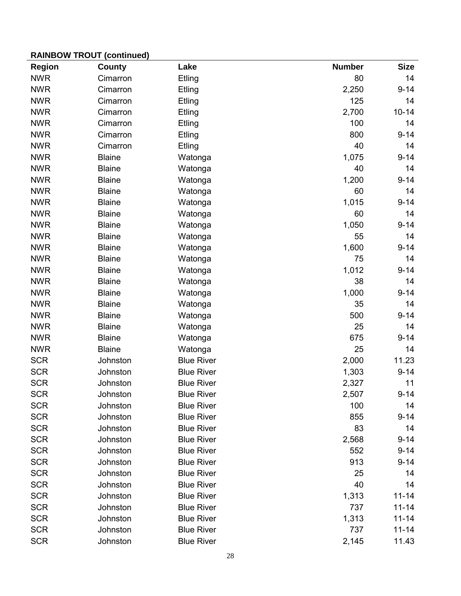| <b>Region</b> | County        | Lake              | <b>Number</b> | <b>Size</b> |
|---------------|---------------|-------------------|---------------|-------------|
| <b>NWR</b>    | Cimarron      | Etling            | 80            | 14          |
| <b>NWR</b>    | Cimarron      | Etling            | 2,250         | $9 - 14$    |
| <b>NWR</b>    | Cimarron      | Etling            | 125           | 14          |
| <b>NWR</b>    | Cimarron      | Etling            | 2,700         | $10 - 14$   |
| <b>NWR</b>    | Cimarron      | Etling            | 100           | 14          |
| <b>NWR</b>    | Cimarron      | Etling            | 800           | $9 - 14$    |
| <b>NWR</b>    | Cimarron      | Etling            | 40            | 14          |
| <b>NWR</b>    | <b>Blaine</b> | Watonga           | 1,075         | $9 - 14$    |
| <b>NWR</b>    | <b>Blaine</b> | Watonga           | 40            | 14          |
| <b>NWR</b>    | <b>Blaine</b> | Watonga           | 1,200         | $9 - 14$    |
| <b>NWR</b>    | <b>Blaine</b> | Watonga           | 60            | 14          |
| <b>NWR</b>    | <b>Blaine</b> | Watonga           | 1,015         | $9 - 14$    |
| <b>NWR</b>    | <b>Blaine</b> | Watonga           | 60            | 14          |
| <b>NWR</b>    | <b>Blaine</b> | Watonga           | 1,050         | $9 - 14$    |
| <b>NWR</b>    | <b>Blaine</b> | Watonga           | 55            | 14          |
| <b>NWR</b>    | <b>Blaine</b> | Watonga           | 1,600         | $9 - 14$    |
| <b>NWR</b>    | <b>Blaine</b> | Watonga           | 75            | 14          |
| <b>NWR</b>    | <b>Blaine</b> | Watonga           | 1,012         | $9 - 14$    |
| <b>NWR</b>    | <b>Blaine</b> | Watonga           | 38            | 14          |
| <b>NWR</b>    | <b>Blaine</b> | Watonga           | 1,000         | $9 - 14$    |
| <b>NWR</b>    | <b>Blaine</b> | Watonga           | 35            | 14          |
| <b>NWR</b>    | <b>Blaine</b> | Watonga           | 500           | $9 - 14$    |
| <b>NWR</b>    | <b>Blaine</b> | Watonga           | 25            | 14          |
| <b>NWR</b>    | <b>Blaine</b> | Watonga           | 675           | $9 - 14$    |
| <b>NWR</b>    | <b>Blaine</b> | Watonga           | 25            | 14          |
| <b>SCR</b>    | Johnston      | <b>Blue River</b> | 2,000         | 11.23       |
| <b>SCR</b>    | Johnston      | <b>Blue River</b> | 1,303         | $9 - 14$    |
| <b>SCR</b>    | Johnston      | <b>Blue River</b> | 2,327         | 11          |
| <b>SCR</b>    | Johnston      | <b>Blue River</b> | 2,507         | $9 - 14$    |
| <b>SCR</b>    | Johnston      | <b>Blue River</b> | 100           | 14          |
| <b>SCR</b>    | Johnston      | <b>Blue River</b> | 855           | $9 - 14$    |
| <b>SCR</b>    | Johnston      | <b>Blue River</b> | 83            | 14          |
| <b>SCR</b>    | Johnston      | <b>Blue River</b> | 2,568         | $9 - 14$    |
| <b>SCR</b>    | Johnston      | <b>Blue River</b> | 552           | $9 - 14$    |
| <b>SCR</b>    | Johnston      | <b>Blue River</b> | 913           | $9 - 14$    |
| <b>SCR</b>    | Johnston      | <b>Blue River</b> | 25            | 14          |
| <b>SCR</b>    | Johnston      | <b>Blue River</b> | 40            | 14          |
| <b>SCR</b>    | Johnston      | <b>Blue River</b> | 1,313         | $11 - 14$   |
| <b>SCR</b>    | Johnston      | <b>Blue River</b> | 737           | $11 - 14$   |
| <b>SCR</b>    | Johnston      | <b>Blue River</b> | 1,313         | $11 - 14$   |
| <b>SCR</b>    | Johnston      | <b>Blue River</b> | 737           | $11 - 14$   |
| <b>SCR</b>    | Johnston      | <b>Blue River</b> | 2,145         | 11.43       |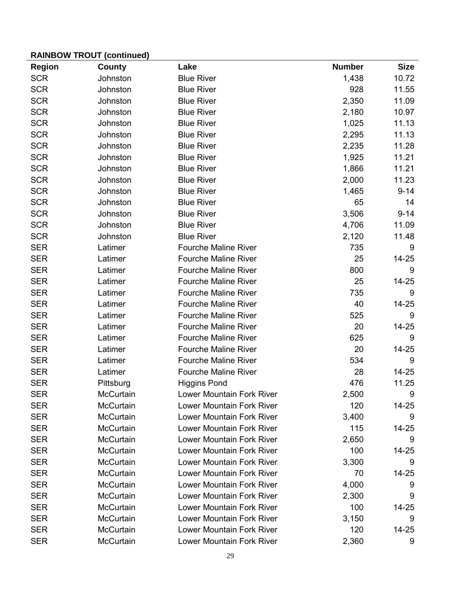| <b>Region</b> | County           | Lake                             | <b>Number</b> | <b>Size</b> |
|---------------|------------------|----------------------------------|---------------|-------------|
| <b>SCR</b>    | Johnston         | <b>Blue River</b>                | 1,438         | 10.72       |
| <b>SCR</b>    | Johnston         | <b>Blue River</b>                | 928           | 11.55       |
| <b>SCR</b>    | Johnston         | <b>Blue River</b>                | 2,350         | 11.09       |
| <b>SCR</b>    | Johnston         | <b>Blue River</b>                | 2,180         | 10.97       |
| <b>SCR</b>    | Johnston         | <b>Blue River</b>                | 1,025         | 11.13       |
| <b>SCR</b>    | Johnston         | <b>Blue River</b>                | 2,295         | 11.13       |
| <b>SCR</b>    | Johnston         | <b>Blue River</b>                | 2,235         | 11.28       |
| <b>SCR</b>    | Johnston         | <b>Blue River</b>                | 1,925         | 11.21       |
| <b>SCR</b>    | Johnston         | <b>Blue River</b>                | 1,866         | 11.21       |
| <b>SCR</b>    | Johnston         | <b>Blue River</b>                | 2,000         | 11.23       |
| <b>SCR</b>    | Johnston         | <b>Blue River</b>                | 1,465         | $9 - 14$    |
| <b>SCR</b>    | Johnston         | <b>Blue River</b>                | 65            | 14          |
| <b>SCR</b>    | Johnston         | <b>Blue River</b>                | 3,506         | $9 - 14$    |
| <b>SCR</b>    | Johnston         | <b>Blue River</b>                | 4,706         | 11.09       |
| <b>SCR</b>    | Johnston         | <b>Blue River</b>                | 2,120         | 11.48       |
| <b>SER</b>    | Latimer          | <b>Fourche Maline River</b>      | 735           | 9           |
| <b>SER</b>    | Latimer          | <b>Fourche Maline River</b>      | 25            | 14-25       |
| <b>SER</b>    | Latimer          | <b>Fourche Maline River</b>      | 800           | 9           |
| <b>SER</b>    | Latimer          | <b>Fourche Maline River</b>      | 25            | 14-25       |
| <b>SER</b>    | Latimer          | <b>Fourche Maline River</b>      | 735           | 9           |
| <b>SER</b>    | Latimer          | <b>Fourche Maline River</b>      | 40            | 14-25       |
| <b>SER</b>    | Latimer          | <b>Fourche Maline River</b>      | 525           | 9           |
| <b>SER</b>    | Latimer          | <b>Fourche Maline River</b>      | 20            | 14-25       |
| <b>SER</b>    | Latimer          | <b>Fourche Maline River</b>      | 625           | 9           |
| <b>SER</b>    | Latimer          | <b>Fourche Maline River</b>      | 20            | 14-25       |
| <b>SER</b>    | Latimer          | <b>Fourche Maline River</b>      | 534           | 9           |
| <b>SER</b>    | Latimer          | <b>Fourche Maline River</b>      | 28            | 14-25       |
| <b>SER</b>    | Pittsburg        | <b>Higgins Pond</b>              | 476           | 11.25       |
| <b>SER</b>    | <b>McCurtain</b> | <b>Lower Mountain Fork River</b> | 2,500         | 9           |
| <b>SER</b>    | McCurtain        | Lower Mountain Fork River        | 120           | 14-25       |
| <b>SER</b>    | McCurtain        | <b>Lower Mountain Fork River</b> | 3,400         | 9           |
| <b>SER</b>    | McCurtain        | <b>Lower Mountain Fork River</b> | 115           | 14-25       |
| <b>SER</b>    | McCurtain        | <b>Lower Mountain Fork River</b> | 2,650         | 9           |
| <b>SER</b>    | McCurtain        | <b>Lower Mountain Fork River</b> | 100           | 14-25       |
| <b>SER</b>    | McCurtain        | <b>Lower Mountain Fork River</b> | 3,300         | 9           |
| <b>SER</b>    | McCurtain        | <b>Lower Mountain Fork River</b> | 70            | 14-25       |
| <b>SER</b>    | McCurtain        | <b>Lower Mountain Fork River</b> | 4,000         | 9           |
| <b>SER</b>    | McCurtain        | <b>Lower Mountain Fork River</b> | 2,300         | 9           |
| <b>SER</b>    | McCurtain        | <b>Lower Mountain Fork River</b> | 100           | 14-25       |
| <b>SER</b>    | McCurtain        | <b>Lower Mountain Fork River</b> | 3,150         | 9           |
| <b>SER</b>    | McCurtain        | <b>Lower Mountain Fork River</b> | 120           | 14-25       |
| <b>SER</b>    | McCurtain        | Lower Mountain Fork River        | 2,360         | 9           |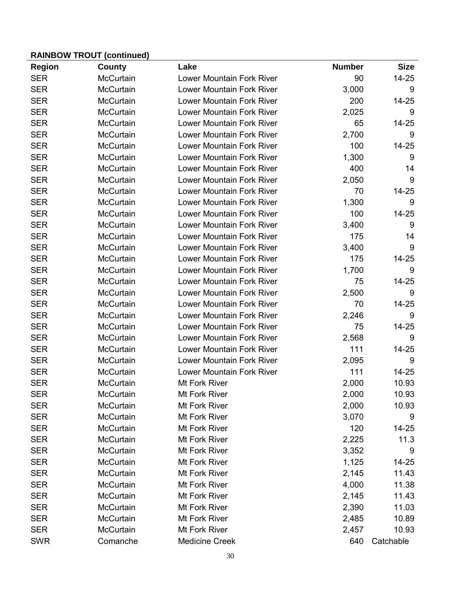| <b>Region</b> | County           | Lake                             | <b>Number</b> | <b>Size</b> |
|---------------|------------------|----------------------------------|---------------|-------------|
| <b>SER</b>    | <b>McCurtain</b> | <b>Lower Mountain Fork River</b> | 90            | 14-25       |
| <b>SER</b>    | McCurtain        | <b>Lower Mountain Fork River</b> | 3,000         | 9           |
| <b>SER</b>    | <b>McCurtain</b> | <b>Lower Mountain Fork River</b> | 200           | 14-25       |
| <b>SER</b>    | McCurtain        | <b>Lower Mountain Fork River</b> | 2,025         | 9           |
| <b>SER</b>    | <b>McCurtain</b> | <b>Lower Mountain Fork River</b> | 65            | $14 - 25$   |
| <b>SER</b>    | McCurtain        | <b>Lower Mountain Fork River</b> | 2,700         | 9           |
| <b>SER</b>    | <b>McCurtain</b> | <b>Lower Mountain Fork River</b> | 100           | 14-25       |
| <b>SER</b>    | <b>McCurtain</b> | <b>Lower Mountain Fork River</b> | 1,300         | 9           |
| <b>SER</b>    | <b>McCurtain</b> | <b>Lower Mountain Fork River</b> | 400           | 14          |
| <b>SER</b>    | McCurtain        | <b>Lower Mountain Fork River</b> | 2,050         | 9           |
| <b>SER</b>    | <b>McCurtain</b> | <b>Lower Mountain Fork River</b> | 70            | 14-25       |
| <b>SER</b>    | <b>McCurtain</b> | <b>Lower Mountain Fork River</b> | 1,300         | 9           |
| <b>SER</b>    | <b>McCurtain</b> | <b>Lower Mountain Fork River</b> | 100           | $14 - 25$   |
| <b>SER</b>    | McCurtain        | <b>Lower Mountain Fork River</b> | 3,400         | 9           |
| <b>SER</b>    | McCurtain        | <b>Lower Mountain Fork River</b> | 175           | 14          |
| <b>SER</b>    | <b>McCurtain</b> | <b>Lower Mountain Fork River</b> | 3,400         | 9           |
| <b>SER</b>    | <b>McCurtain</b> | <b>Lower Mountain Fork River</b> | 175           | $14 - 25$   |
| <b>SER</b>    | McCurtain        | <b>Lower Mountain Fork River</b> | 1,700         | 9           |
| <b>SER</b>    | <b>McCurtain</b> | <b>Lower Mountain Fork River</b> | 75            | 14-25       |
| <b>SER</b>    | <b>McCurtain</b> | <b>Lower Mountain Fork River</b> | 2,500         | 9           |
| <b>SER</b>    | <b>McCurtain</b> | <b>Lower Mountain Fork River</b> | 70            | $14 - 25$   |
| <b>SER</b>    | <b>McCurtain</b> | <b>Lower Mountain Fork River</b> | 2,246         | 9           |
| <b>SER</b>    | <b>McCurtain</b> | <b>Lower Mountain Fork River</b> | 75            | 14-25       |
| <b>SER</b>    | <b>McCurtain</b> | <b>Lower Mountain Fork River</b> | 2,568         | 9           |
| <b>SER</b>    | <b>McCurtain</b> | <b>Lower Mountain Fork River</b> | 111           | $14 - 25$   |
| <b>SER</b>    | McCurtain        | <b>Lower Mountain Fork River</b> | 2,095         | 9           |
| <b>SER</b>    | <b>McCurtain</b> | <b>Lower Mountain Fork River</b> | 111           | 14-25       |
| <b>SER</b>    | McCurtain        | Mt Fork River                    | 2,000         | 10.93       |
| <b>SER</b>    | <b>McCurtain</b> | Mt Fork River                    | 2,000         | 10.93       |
| <b>SER</b>    | McCurtain        | Mt Fork River                    | 2,000         | 10.93       |
| <b>SER</b>    | <b>McCurtain</b> | Mt Fork River                    | 3,070         | 9           |
| <b>SER</b>    | McCurtain        | Mt Fork River                    | 120           | 14-25       |
| <b>SER</b>    | <b>McCurtain</b> | Mt Fork River                    | 2,225         | 11.3        |
| <b>SER</b>    | McCurtain        | Mt Fork River                    | 3,352         | 9           |
| <b>SER</b>    | McCurtain        | Mt Fork River                    | 1,125         | 14-25       |
| <b>SER</b>    | McCurtain        | Mt Fork River                    | 2,145         | 11.43       |
| <b>SER</b>    | McCurtain        | Mt Fork River                    | 4,000         | 11.38       |
| <b>SER</b>    | McCurtain        | Mt Fork River                    | 2,145         | 11.43       |
| <b>SER</b>    | McCurtain        | Mt Fork River                    | 2,390         | 11.03       |
| <b>SER</b>    | McCurtain        | Mt Fork River                    | 2,485         | 10.89       |
| <b>SER</b>    | <b>McCurtain</b> | Mt Fork River                    | 2,457         | 10.93       |
| <b>SWR</b>    | Comanche         | <b>Medicine Creek</b>            | 640           | Catchable   |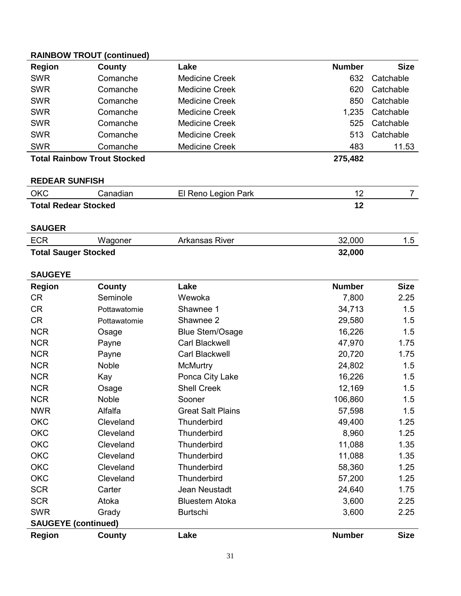| <b>Region</b>                      | County                     | Lake                     | <b>Number</b> | <b>Size</b>    |  |  |
|------------------------------------|----------------------------|--------------------------|---------------|----------------|--|--|
| <b>SWR</b>                         | Comanche                   | <b>Medicine Creek</b>    | 632           | Catchable      |  |  |
| <b>SWR</b>                         | Comanche                   | <b>Medicine Creek</b>    | 620           | Catchable      |  |  |
| <b>SWR</b>                         | Comanche                   | <b>Medicine Creek</b>    | 850           | Catchable      |  |  |
| <b>SWR</b>                         | Comanche                   | <b>Medicine Creek</b>    | 1,235         | Catchable      |  |  |
| <b>SWR</b>                         | Comanche                   | <b>Medicine Creek</b>    | 525           | Catchable      |  |  |
| <b>SWR</b>                         | Comanche                   | <b>Medicine Creek</b>    | 513           | Catchable      |  |  |
| <b>SWR</b>                         | Comanche                   | <b>Medicine Creek</b>    | 483           | 11.53          |  |  |
| <b>Total Rainbow Trout Stocked</b> |                            |                          | 275,482       |                |  |  |
|                                    |                            |                          |               |                |  |  |
| <b>REDEAR SUNFISH</b>              |                            |                          |               |                |  |  |
| <b>OKC</b>                         | Canadian                   | El Reno Legion Park      | 12            | $\overline{7}$ |  |  |
| <b>Total Redear Stocked</b>        |                            |                          | 12            |                |  |  |
|                                    |                            |                          |               |                |  |  |
| <b>SAUGER</b>                      |                            |                          |               |                |  |  |
| <b>ECR</b>                         | Wagoner                    | <b>Arkansas River</b>    | 32,000        | 1.5            |  |  |
| <b>Total Sauger Stocked</b>        |                            |                          | 32,000        |                |  |  |
|                                    |                            |                          |               |                |  |  |
| <b>SAUGEYE</b>                     |                            |                          |               |                |  |  |
| <b>Region</b>                      | County                     | Lake                     | <b>Number</b> | <b>Size</b>    |  |  |
| <b>CR</b>                          | Seminole                   | Wewoka                   | 7,800         | 2.25           |  |  |
| <b>CR</b>                          | Pottawatomie               | Shawnee 1                | 34,713        | 1.5            |  |  |
| <b>CR</b>                          | Pottawatomie               | Shawnee 2                | 29,580        | 1.5            |  |  |
| <b>NCR</b>                         | Osage                      | <b>Blue Stem/Osage</b>   | 16,226        | 1.5            |  |  |
| <b>NCR</b>                         | Payne                      | Carl Blackwell           | 47,970        | 1.75           |  |  |
| <b>NCR</b>                         | Payne                      | <b>Carl Blackwell</b>    | 20,720        | 1.75           |  |  |
| <b>NCR</b>                         | <b>Noble</b>               | <b>McMurtry</b>          | 24,802        | 1.5            |  |  |
| <b>NCR</b>                         | Kay                        | Ponca City Lake          | 16,226        | 1.5            |  |  |
| <b>NCR</b>                         | Osage                      | <b>Shell Creek</b>       | 12,169        | 1.5            |  |  |
| <b>NCR</b>                         | <b>Noble</b>               | Sooner                   | 106,860       | 1.5            |  |  |
| <b>NWR</b>                         | Alfalfa                    | <b>Great Salt Plains</b> | 57,598        | 1.5            |  |  |
| <b>OKC</b>                         | Cleveland                  | Thunderbird              | 49,400        | 1.25           |  |  |
| <b>OKC</b>                         | Cleveland                  | Thunderbird              | 8,960         | 1.25           |  |  |
| <b>OKC</b>                         | Cleveland                  | Thunderbird              | 11,088        | 1.35           |  |  |
| <b>OKC</b>                         | Cleveland                  | Thunderbird              | 11,088        | 1.35           |  |  |
| <b>OKC</b>                         | Cleveland                  | Thunderbird              | 58,360        | 1.25           |  |  |
| <b>OKC</b>                         | Cleveland                  | Thunderbird              | 57,200        | 1.25           |  |  |
| <b>SCR</b>                         | Carter                     | Jean Neustadt            | 24,640        | 1.75           |  |  |
| <b>SCR</b>                         | Atoka                      | <b>Bluestem Atoka</b>    | 3,600         | 2.25           |  |  |
| <b>SWR</b>                         | Grady                      | <b>Burtschi</b>          | 3,600         | 2.25           |  |  |
|                                    | <b>SAUGEYE (continued)</b> |                          |               |                |  |  |
| <b>Region</b>                      | <b>County</b>              | Lake                     | <b>Number</b> | <b>Size</b>    |  |  |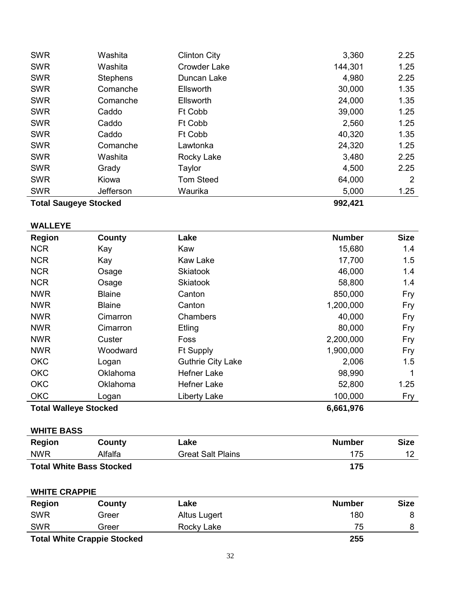| 992,421<br><b>Total Saugeye Stocked</b> |                 |                     |         |      |
|-----------------------------------------|-----------------|---------------------|---------|------|
| <b>SWR</b>                              | Jefferson       | Waurika             | 5,000   | 1.25 |
| <b>SWR</b>                              | Kiowa           | <b>Tom Steed</b>    | 64,000  | 2    |
| <b>SWR</b>                              | Grady           | Taylor              | 4,500   | 2.25 |
| <b>SWR</b>                              | Washita         | Rocky Lake          | 3,480   | 2.25 |
| <b>SWR</b>                              | Comanche        | Lawtonka            | 24,320  | 1.25 |
| <b>SWR</b>                              | Caddo           | Ft Cobb             | 40,320  | 1.35 |
| <b>SWR</b>                              | Caddo           | Ft Cobb             | 2,560   | 1.25 |
| <b>SWR</b>                              | Caddo           | Ft Cobb             | 39,000  | 1.25 |
| <b>SWR</b>                              | Comanche        | <b>Ellsworth</b>    | 24,000  | 1.35 |
| <b>SWR</b>                              | Comanche        | Ellsworth           | 30,000  | 1.35 |
| <b>SWR</b>                              | <b>Stephens</b> | Duncan Lake         | 4,980   | 2.25 |
| <b>SWR</b>                              | Washita         | <b>Crowder Lake</b> | 144,301 | 1.25 |
| <b>SWR</b>                              | Washita         | <b>Clinton City</b> | 3,360   | 2.25 |
|                                         |                 |                     |         |      |

# **WALLEYE**

| <b>Region</b>                             | County        | Lake                     | <b>Number</b> | <b>Size</b> |
|-------------------------------------------|---------------|--------------------------|---------------|-------------|
| <b>NCR</b>                                | Kay           | Kaw                      | 15,680        | 1.4         |
| <b>NCR</b>                                | Kay           | <b>Kaw Lake</b>          | 17,700        | 1.5         |
| <b>NCR</b>                                | Osage         | <b>Skiatook</b>          | 46,000        | 1.4         |
| <b>NCR</b>                                | Osage         | <b>Skiatook</b>          | 58,800        | 1.4         |
| <b>NWR</b>                                | <b>Blaine</b> | Canton                   | 850,000       | Fry         |
| <b>NWR</b>                                | <b>Blaine</b> | Canton                   | 1,200,000     | Fry         |
| <b>NWR</b>                                | Cimarron      | Chambers                 | 40,000        | Fry         |
| <b>NWR</b>                                | Cimarron      | Etling                   | 80,000        | Fry         |
| <b>NWR</b>                                | Custer        | Foss                     | 2,200,000     | Fry         |
| <b>NWR</b>                                | Woodward      | <b>Ft Supply</b>         | 1,900,000     | Fry         |
| <b>OKC</b>                                | Logan         | <b>Guthrie City Lake</b> | 2,006         | 1.5         |
| <b>OKC</b>                                | Oklahoma      | <b>Hefner Lake</b>       | 98,990        | 1           |
| <b>OKC</b>                                | Oklahoma      | <b>Hefner Lake</b>       | 52,800        | 1.25        |
| <b>OKC</b>                                | Logan         | Liberty Lake             | 100,000       | Fry         |
| <b>Total Walleye Stocked</b><br>6,661,976 |               |                          |               |             |

### **WHITE BASS**

| Region     | County                          | Lake                     | <b>Number</b> | <b>Size</b> |
|------------|---------------------------------|--------------------------|---------------|-------------|
| <b>NWR</b> | Alfalfa                         | <b>Great Salt Plains</b> | 175           |             |
|            | <b>Total White Bass Stocked</b> |                          | 175           |             |

### **WHITE CRAPPIE**

| Region                             | County | Lake         | <b>Number</b> | <b>Size</b> |
|------------------------------------|--------|--------------|---------------|-------------|
| <b>SWR</b>                         | Greer  | Altus Lugert | 180           |             |
| <b>SWR</b>                         | Greer  | Rocky Lake   | 75            |             |
| <b>Total White Crappie Stocked</b> |        |              | 255           |             |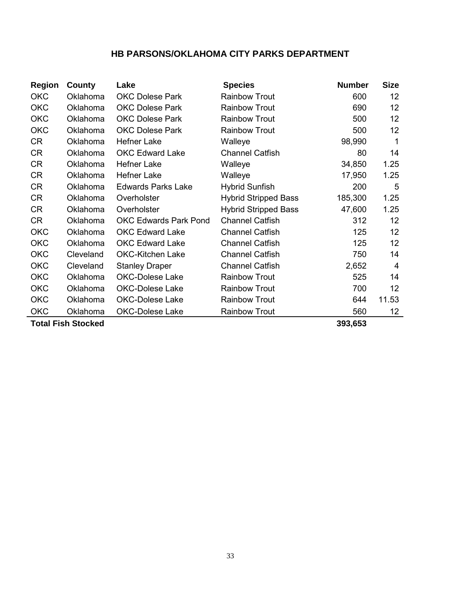# **HB PARSONS/OKLAHOMA CITY PARKS DEPARTMENT**

| <b>Region</b> | County                    | Lake                         | <b>Species</b>              | <b>Number</b> | <b>Size</b>       |
|---------------|---------------------------|------------------------------|-----------------------------|---------------|-------------------|
| <b>OKC</b>    | Oklahoma                  | <b>OKC Dolese Park</b>       | <b>Rainbow Trout</b>        | 600           | 12                |
| <b>OKC</b>    | Oklahoma                  | <b>OKC Dolese Park</b>       | <b>Rainbow Trout</b>        | 690           | 12                |
| <b>OKC</b>    | Oklahoma                  | <b>OKC Dolese Park</b>       | <b>Rainbow Trout</b>        | 500           | 12                |
| <b>OKC</b>    | Oklahoma                  | <b>OKC Dolese Park</b>       | <b>Rainbow Trout</b>        | 500           | 12                |
| <b>CR</b>     | Oklahoma                  | <b>Hefner Lake</b>           | Walleye                     | 98,990        | 1                 |
| <b>CR</b>     | Oklahoma                  | <b>OKC Edward Lake</b>       | <b>Channel Catfish</b>      | 80            | 14                |
| <b>CR</b>     | Oklahoma                  | <b>Hefner Lake</b>           | Walleye                     | 34,850        | 1.25              |
| <b>CR</b>     | Oklahoma                  | <b>Hefner Lake</b>           | Walleye                     | 17,950        | 1.25              |
| <b>CR</b>     | Oklahoma                  | <b>Edwards Parks Lake</b>    | <b>Hybrid Sunfish</b>       | 200           | 5                 |
| <b>CR</b>     | Oklahoma                  | Overholster                  | <b>Hybrid Stripped Bass</b> | 185,300       | 1.25              |
| <b>CR</b>     | Oklahoma                  | Overholster                  | <b>Hybrid Stripped Bass</b> | 47,600        | 1.25              |
| <b>CR</b>     | Oklahoma                  | <b>OKC Edwards Park Pond</b> | <b>Channel Catfish</b>      | 312           | 12                |
| <b>OKC</b>    | Oklahoma                  | <b>OKC Edward Lake</b>       | <b>Channel Catfish</b>      | 125           | 12                |
| <b>OKC</b>    | Oklahoma                  | <b>OKC Edward Lake</b>       | <b>Channel Catfish</b>      | 125           | 12                |
| <b>OKC</b>    | Cleveland                 | <b>OKC-Kitchen Lake</b>      | <b>Channel Catfish</b>      | 750           | 14                |
| <b>OKC</b>    | Cleveland                 | <b>Stanley Draper</b>        | <b>Channel Catfish</b>      | 2,652         | 4                 |
| <b>OKC</b>    | Oklahoma                  | <b>OKC-Dolese Lake</b>       | <b>Rainbow Trout</b>        | 525           | 14                |
| <b>OKC</b>    | Oklahoma                  | <b>OKC-Dolese Lake</b>       | <b>Rainbow Trout</b>        | 700           | 12                |
| <b>OKC</b>    | Oklahoma                  | OKC-Dolese Lake              | <b>Rainbow Trout</b>        | 644           | 11.53             |
| <b>OKC</b>    | Oklahoma                  | <b>OKC-Dolese Lake</b>       | <b>Rainbow Trout</b>        | 560           | $12 \overline{ }$ |
|               | <b>Total Fish Stocked</b> |                              |                             | 393,653       |                   |